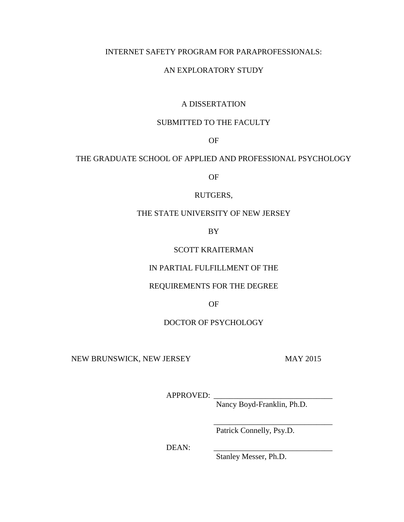# INTERNET SAFETY PROGRAM FOR PARAPROFESSIONALS:

# AN EXPLORATORY STUDY

# A DISSERTATION

# SUBMITTED TO THE FACULTY

OF

# THE GRADUATE SCHOOL OF APPLIED AND PROFESSIONAL PSYCHOLOGY

OF

## RUTGERS,

# THE STATE UNIVERSITY OF NEW JERSEY

BY

# SCOTT KRAITERMAN

# IN PARTIAL FULFILLMENT OF THE

## REQUIREMENTS FOR THE DEGREE

OF

# DOCTOR OF PSYCHOLOGY

NEW BRUNSWICK, NEW JERSEY MAY 2015

APPROVED:

Nancy Boyd-Franklin, Ph.D.

\_\_\_\_\_\_\_\_\_\_\_\_\_\_\_\_\_\_\_\_\_\_\_\_\_\_\_\_\_\_

Patrick Connelly, Psy.D.

DEAN:

Stanley Messer, Ph.D.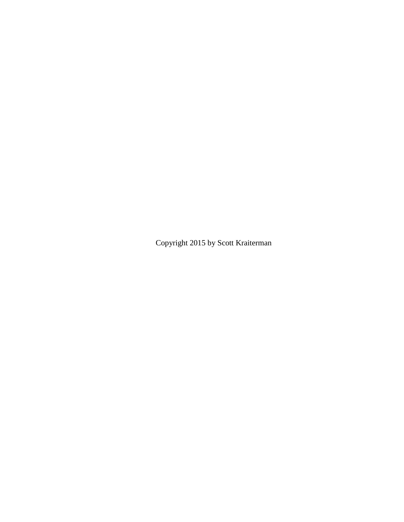Copyright 2015 by Scott Kraiterman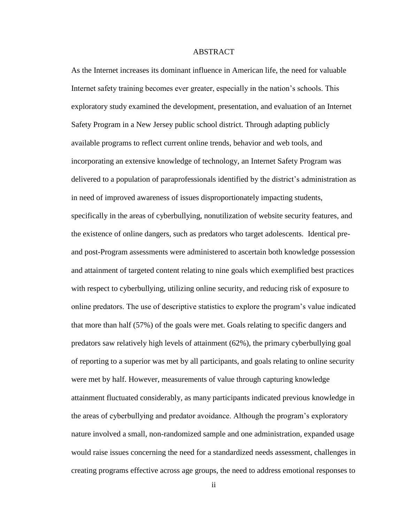# ABSTRACT

As the Internet increases its dominant influence in American life, the need for valuable Internet safety training becomes ever greater, especially in the nation's schools. This exploratory study examined the development, presentation, and evaluation of an Internet Safety Program in a New Jersey public school district. Through adapting publicly available programs to reflect current online trends, behavior and web tools, and incorporating an extensive knowledge of technology, an Internet Safety Program was delivered to a population of paraprofessionals identified by the district's administration as in need of improved awareness of issues disproportionately impacting students, specifically in the areas of cyberbullying, nonutilization of website security features, and the existence of online dangers, such as predators who target adolescents. Identical preand post-Program assessments were administered to ascertain both knowledge possession and attainment of targeted content relating to nine goals which exemplified best practices with respect to cyberbullying, utilizing online security, and reducing risk of exposure to online predators. The use of descriptive statistics to explore the program's value indicated that more than half (57%) of the goals were met. Goals relating to specific dangers and predators saw relatively high levels of attainment (62%), the primary cyberbullying goal of reporting to a superior was met by all participants, and goals relating to online security were met by half. However, measurements of value through capturing knowledge attainment fluctuated considerably, as many participants indicated previous knowledge in the areas of cyberbullying and predator avoidance. Although the program's exploratory nature involved a small, non-randomized sample and one administration, expanded usage would raise issues concerning the need for a standardized needs assessment, challenges in creating programs effective across age groups, the need to address emotional responses to

ii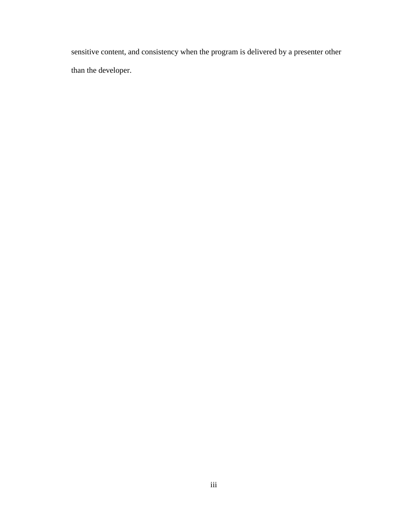sensitive content, and consistency when the program is delivered by a presenter other than the developer.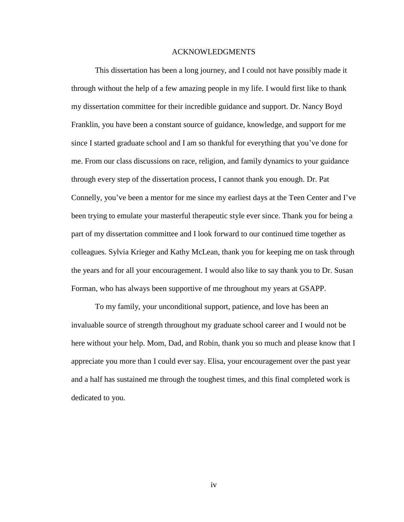#### ACKNOWLEDGMENTS

This dissertation has been a long journey, and I could not have possibly made it through without the help of a few amazing people in my life. I would first like to thank my dissertation committee for their incredible guidance and support. Dr. Nancy Boyd Franklin, you have been a constant source of guidance, knowledge, and support for me since I started graduate school and I am so thankful for everything that you've done for me. From our class discussions on race, religion, and family dynamics to your guidance through every step of the dissertation process, I cannot thank you enough. Dr. Pat Connelly, you've been a mentor for me since my earliest days at the Teen Center and I've been trying to emulate your masterful therapeutic style ever since. Thank you for being a part of my dissertation committee and I look forward to our continued time together as colleagues. Sylvia Krieger and Kathy McLean, thank you for keeping me on task through the years and for all your encouragement. I would also like to say thank you to Dr. Susan Forman, who has always been supportive of me throughout my years at GSAPP.

To my family, your unconditional support, patience, and love has been an invaluable source of strength throughout my graduate school career and I would not be here without your help. Mom, Dad, and Robin, thank you so much and please know that I appreciate you more than I could ever say. Elisa, your encouragement over the past year and a half has sustained me through the toughest times, and this final completed work is dedicated to you.

iv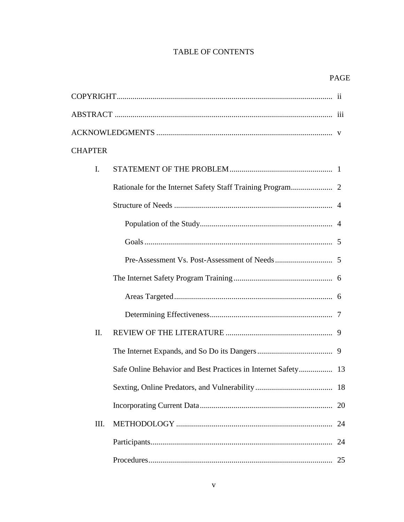# **TABLE OF CONTENTS**

| <b>CHAPTER</b> |                                                               |    |
|----------------|---------------------------------------------------------------|----|
| I.             |                                                               |    |
|                |                                                               |    |
|                |                                                               |    |
|                |                                                               |    |
|                |                                                               |    |
|                |                                                               |    |
|                |                                                               |    |
|                |                                                               |    |
|                |                                                               |    |
| II.            |                                                               |    |
|                |                                                               |    |
|                | Safe Online Behavior and Best Practices in Internet Safety 13 |    |
|                |                                                               |    |
|                |                                                               | 20 |
| Ш.             |                                                               |    |
|                |                                                               | 24 |
|                |                                                               |    |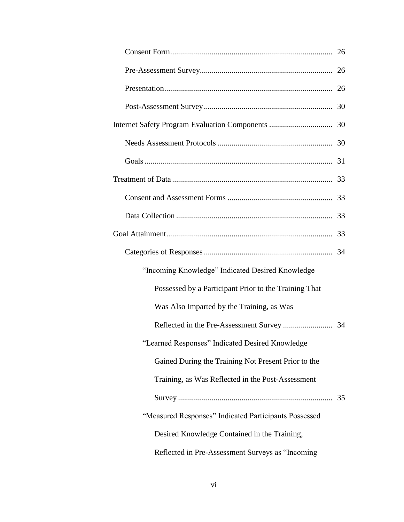| "Incoming Knowledge" Indicated Desired Knowledge      |  |
|-------------------------------------------------------|--|
| Possessed by a Participant Prior to the Training That |  |
| Was Also Imparted by the Training, as Was             |  |
|                                                       |  |
| "Learned Responses" Indicated Desired Knowledge       |  |
| Gained During the Training Not Present Prior to the   |  |
| Training, as Was Reflected in the Post-Assessment     |  |
|                                                       |  |
| "Measured Responses" Indicated Participants Possessed |  |
| Desired Knowledge Contained in the Training,          |  |
| Reflected in Pre-Assessment Surveys as "Incoming      |  |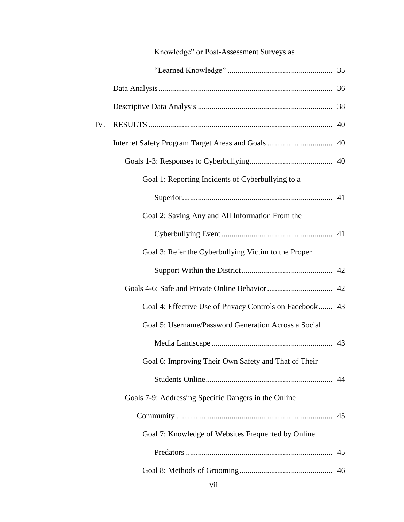|     | Knowledge" or Post-Assessment Surveys as                 |  |
|-----|----------------------------------------------------------|--|
|     |                                                          |  |
|     |                                                          |  |
|     |                                                          |  |
| IV. |                                                          |  |
|     |                                                          |  |
|     |                                                          |  |
|     | Goal 1: Reporting Incidents of Cyberbullying to a        |  |
|     |                                                          |  |
|     | Goal 2: Saving Any and All Information From the          |  |
|     |                                                          |  |
|     | Goal 3: Refer the Cyberbullying Victim to the Proper     |  |
|     |                                                          |  |
|     |                                                          |  |
|     | Goal 4: Effective Use of Privacy Controls on Facebook 43 |  |
|     | Goal 5: Username/Password Generation Across a Social     |  |
|     |                                                          |  |
|     | Goal 6: Improving Their Own Safety and That of Their     |  |
|     |                                                          |  |
|     | Goals 7-9: Addressing Specific Dangers in the Online     |  |
|     |                                                          |  |
|     | Goal 7: Knowledge of Websites Frequented by Online       |  |
|     |                                                          |  |
|     |                                                          |  |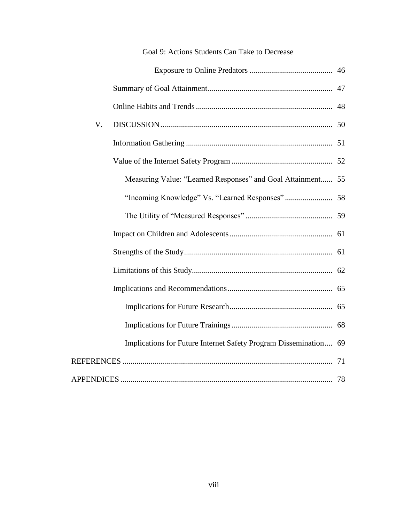| V. |                                                                  |  |
|----|------------------------------------------------------------------|--|
|    |                                                                  |  |
|    |                                                                  |  |
|    | Measuring Value: "Learned Responses" and Goal Attainment 55      |  |
|    |                                                                  |  |
|    |                                                                  |  |
|    |                                                                  |  |
|    |                                                                  |  |
|    |                                                                  |  |
|    |                                                                  |  |
|    |                                                                  |  |
|    |                                                                  |  |
|    | Implications for Future Internet Safety Program Dissemination 69 |  |
|    |                                                                  |  |
|    |                                                                  |  |

# Goal 9: Actions Students Can Take to Decrease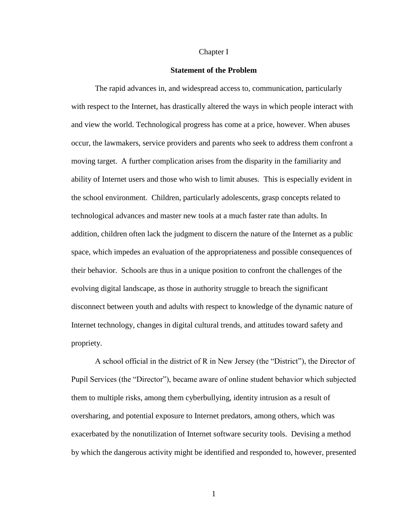#### Chapter I

#### **Statement of the Problem**

The rapid advances in, and widespread access to, communication, particularly with respect to the Internet, has drastically altered the ways in which people interact with and view the world. Technological progress has come at a price, however. When abuses occur, the lawmakers, service providers and parents who seek to address them confront a moving target. A further complication arises from the disparity in the familiarity and ability of Internet users and those who wish to limit abuses. This is especially evident in the school environment. Children, particularly adolescents, grasp concepts related to technological advances and master new tools at a much faster rate than adults. In addition, children often lack the judgment to discern the nature of the Internet as a public space, which impedes an evaluation of the appropriateness and possible consequences of their behavior. Schools are thus in a unique position to confront the challenges of the evolving digital landscape, as those in authority struggle to breach the significant disconnect between youth and adults with respect to knowledge of the dynamic nature of Internet technology, changes in digital cultural trends, and attitudes toward safety and propriety.

A school official in the district of R in New Jersey (the "District"), the Director of Pupil Services (the "Director"), became aware of online student behavior which subjected them to multiple risks, among them cyberbullying, identity intrusion as a result of oversharing, and potential exposure to Internet predators, among others, which was exacerbated by the nonutilization of Internet software security tools. Devising a method by which the dangerous activity might be identified and responded to, however, presented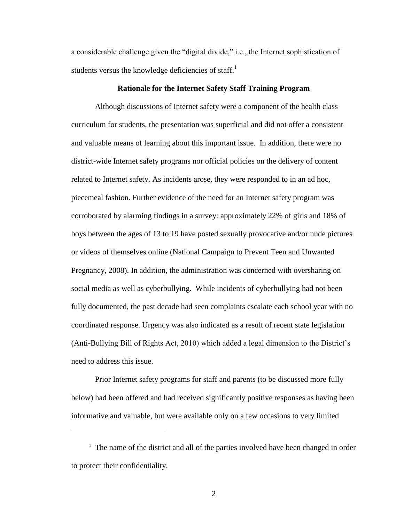a considerable challenge given the "digital divide," i.e., the Internet sophistication of students versus the knowledge deficiencies of staff.<sup>1</sup>

### **Rationale for the Internet Safety Staff Training Program**

Although discussions of Internet safety were a component of the health class curriculum for students, the presentation was superficial and did not offer a consistent and valuable means of learning about this important issue. In addition, there were no district-wide Internet safety programs nor official policies on the delivery of content related to Internet safety. As incidents arose, they were responded to in an ad hoc, piecemeal fashion. Further evidence of the need for an Internet safety program was corroborated by alarming findings in a survey: approximately 22% of girls and 18% of boys between the ages of 13 to 19 have posted sexually provocative and/or nude pictures or videos of themselves online (National Campaign to Prevent Teen and Unwanted Pregnancy, 2008). In addition, the administration was concerned with oversharing on social media as well as cyberbullying. While incidents of cyberbullying had not been fully documented, the past decade had seen complaints escalate each school year with no coordinated response. Urgency was also indicated as a result of recent state legislation (Anti-Bullying Bill of Rights Act, 2010) which added a legal dimension to the District's need to address this issue.

Prior Internet safety programs for staff and parents (to be discussed more fully below) had been offered and had received significantly positive responses as having been informative and valuable, but were available only on a few occasions to very limited

 $\overline{a}$ 

<sup>&</sup>lt;sup>1</sup> The name of the district and all of the parties involved have been changed in order to protect their confidentiality.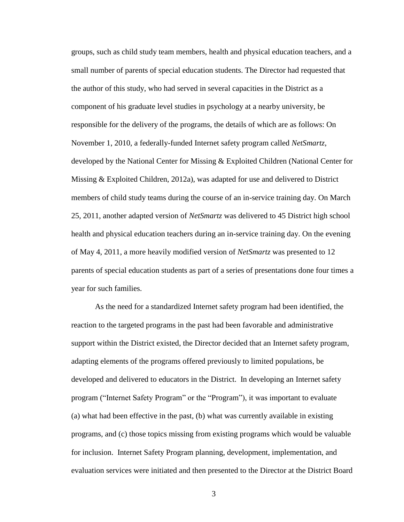groups, such as child study team members, health and physical education teachers, and a small number of parents of special education students. The Director had requested that the author of this study, who had served in several capacities in the District as a component of his graduate level studies in psychology at a nearby university, be responsible for the delivery of the programs, the details of which are as follows: On November 1, 2010, a federally-funded Internet safety program called *NetSmartz*, developed by the National Center for Missing & Exploited Children (National Center for Missing & Exploited Children, 2012a), was adapted for use and delivered to District members of child study teams during the course of an in-service training day. On March 25, 2011, another adapted version of *NetSmartz* was delivered to 45 District high school health and physical education teachers during an in-service training day. On the evening of May 4, 2011, a more heavily modified version of *NetSmartz* was presented to 12 parents of special education students as part of a series of presentations done four times a year for such families.

As the need for a standardized Internet safety program had been identified, the reaction to the targeted programs in the past had been favorable and administrative support within the District existed, the Director decided that an Internet safety program, adapting elements of the programs offered previously to limited populations, be developed and delivered to educators in the District. In developing an Internet safety program ("Internet Safety Program" or the "Program"), it was important to evaluate (a) what had been effective in the past, (b) what was currently available in existing programs, and (c) those topics missing from existing programs which would be valuable for inclusion. Internet Safety Program planning, development, implementation, and evaluation services were initiated and then presented to the Director at the District Board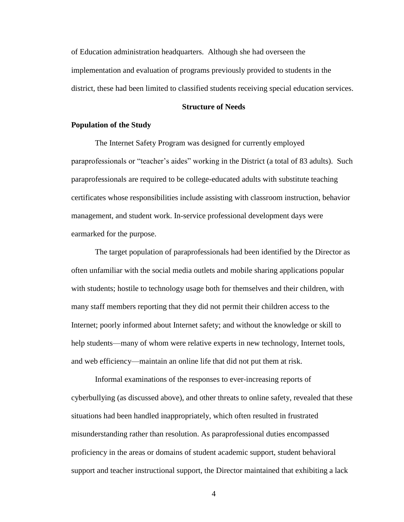of Education administration headquarters. Although she had overseen the implementation and evaluation of programs previously provided to students in the district, these had been limited to classified students receiving special education services.

### **Structure of Needs**

#### **Population of the Study**

The Internet Safety Program was designed for currently employed paraprofessionals or "teacher's aides" working in the District (a total of 83 adults). Such paraprofessionals are required to be college-educated adults with substitute teaching certificates whose responsibilities include assisting with classroom instruction, behavior management, and student work. In-service professional development days were earmarked for the purpose.

The target population of paraprofessionals had been identified by the Director as often unfamiliar with the social media outlets and mobile sharing applications popular with students; hostile to technology usage both for themselves and their children, with many staff members reporting that they did not permit their children access to the Internet; poorly informed about Internet safety; and without the knowledge or skill to help students—many of whom were relative experts in new technology, Internet tools, and web efficiency—maintain an online life that did not put them at risk.

Informal examinations of the responses to ever-increasing reports of cyberbullying (as discussed above), and other threats to online safety, revealed that these situations had been handled inappropriately, which often resulted in frustrated misunderstanding rather than resolution. As paraprofessional duties encompassed proficiency in the areas or domains of student academic support, student behavioral support and teacher instructional support, the Director maintained that exhibiting a lack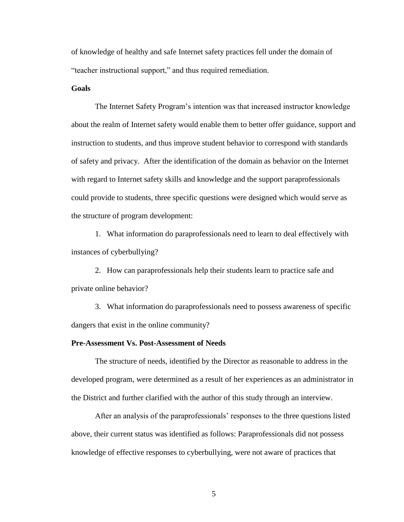of knowledge of healthy and safe Internet safety practices fell under the domain of "teacher instructional support," and thus required remediation.

#### **Goals**

The Internet Safety Program's intention was that increased instructor knowledge about the realm of Internet safety would enable them to better offer guidance, support and instruction to students, and thus improve student behavior to correspond with standards of safety and privacy. After the identification of the domain as behavior on the Internet with regard to Internet safety skills and knowledge and the support paraprofessionals could provide to students, three specific questions were designed which would serve as the structure of program development:

1. What information do paraprofessionals need to learn to deal effectively with instances of cyberbullying?

2. How can paraprofessionals help their students learn to practice safe and private online behavior?

3. What information do paraprofessionals need to possess awareness of specific dangers that exist in the online community?

#### **Pre-Assessment Vs. Post-Assessment of Needs**

The structure of needs, identified by the Director as reasonable to address in the developed program, were determined as a result of her experiences as an administrator in the District and further clarified with the author of this study through an interview.

After an analysis of the paraprofessionals' responses to the three questions listed above, their current status was identified as follows: Paraprofessionals did not possess knowledge of effective responses to cyberbullying, were not aware of practices that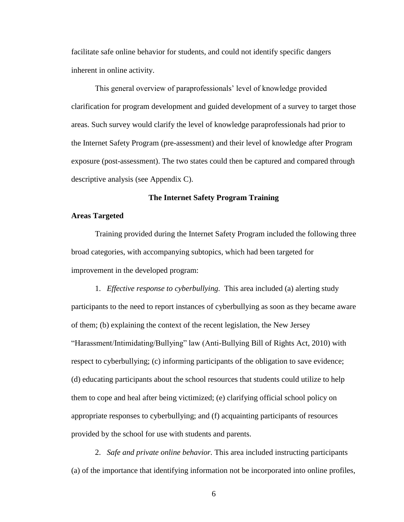facilitate safe online behavior for students, and could not identify specific dangers inherent in online activity.

This general overview of paraprofessionals' level of knowledge provided clarification for program development and guided development of a survey to target those areas. Such survey would clarify the level of knowledge paraprofessionals had prior to the Internet Safety Program (pre-assessment) and their level of knowledge after Program exposure (post-assessment). The two states could then be captured and compared through descriptive analysis (see Appendix C).

## **The Internet Safety Program Training**

## **Areas Targeted**

Training provided during the Internet Safety Program included the following three broad categories, with accompanying subtopics, which had been targeted for improvement in the developed program:

1. *Effective response to cyberbullying.* This area included (a) alerting study participants to the need to report instances of cyberbullying as soon as they became aware of them; (b) explaining the context of the recent legislation, the New Jersey "Harassment/Intimidating/Bullying" law (Anti-Bullying Bill of Rights Act, 2010) with respect to cyberbullying; (c) informing participants of the obligation to save evidence; (d) educating participants about the school resources that students could utilize to help them to cope and heal after being victimized; (e) clarifying official school policy on appropriate responses to cyberbullying; and (f) acquainting participants of resources provided by the school for use with students and parents.

2. *Safe and private online behavior.* This area included instructing participants (a) of the importance that identifying information not be incorporated into online profiles,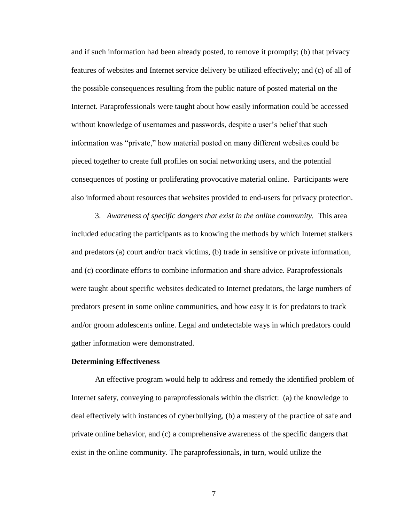and if such information had been already posted, to remove it promptly; (b) that privacy features of websites and Internet service delivery be utilized effectively; and (c) of all of the possible consequences resulting from the public nature of posted material on the Internet. Paraprofessionals were taught about how easily information could be accessed without knowledge of usernames and passwords, despite a user's belief that such information was "private," how material posted on many different websites could be pieced together to create full profiles on social networking users, and the potential consequences of posting or proliferating provocative material online. Participants were also informed about resources that websites provided to end-users for privacy protection.

3. *Awareness of specific dangers that exist in the online community.* This area included educating the participants as to knowing the methods by which Internet stalkers and predators (a) court and/or track victims, (b) trade in sensitive or private information, and (c) coordinate efforts to combine information and share advice. Paraprofessionals were taught about specific websites dedicated to Internet predators, the large numbers of predators present in some online communities, and how easy it is for predators to track and/or groom adolescents online. Legal and undetectable ways in which predators could gather information were demonstrated.

## **Determining Effectiveness**

An effective program would help to address and remedy the identified problem of Internet safety, conveying to paraprofessionals within the district: (a) the knowledge to deal effectively with instances of cyberbullying, (b) a mastery of the practice of safe and private online behavior, and (c) a comprehensive awareness of the specific dangers that exist in the online community. The paraprofessionals, in turn, would utilize the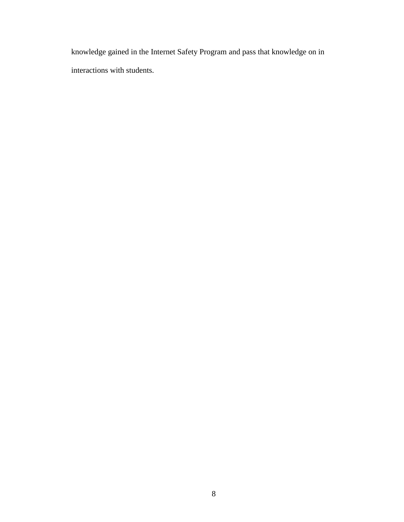knowledge gained in the Internet Safety Program and pass that knowledge on in interactions with students.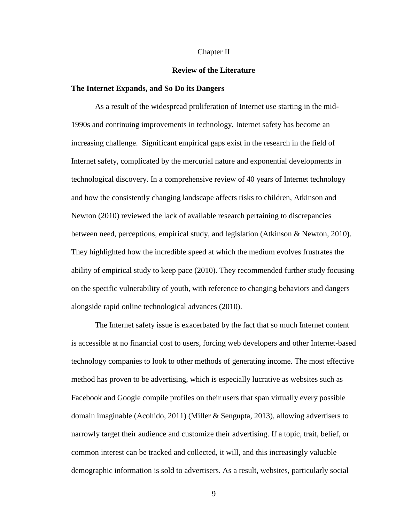#### Chapter II

#### **Review of the Literature**

### **The Internet Expands, and So Do its Dangers**

As a result of the widespread proliferation of Internet use starting in the mid-1990s and continuing improvements in technology, Internet safety has become an increasing challenge. Significant empirical gaps exist in the research in the field of Internet safety, complicated by the mercurial nature and exponential developments in technological discovery. In a comprehensive review of 40 years of Internet technology and how the consistently changing landscape affects risks to children, Atkinson and Newton (2010) reviewed the lack of available research pertaining to discrepancies between need, perceptions, empirical study, and legislation (Atkinson & Newton, 2010). They highlighted how the incredible speed at which the medium evolves frustrates the ability of empirical study to keep pace (2010). They recommended further study focusing on the specific vulnerability of youth, with reference to changing behaviors and dangers alongside rapid online technological advances (2010).

The Internet safety issue is exacerbated by the fact that so much Internet content is accessible at no financial cost to users, forcing web developers and other Internet-based technology companies to look to other methods of generating income. The most effective method has proven to be advertising, which is especially lucrative as websites such as Facebook and Google compile profiles on their users that span virtually every possible domain imaginable (Acohido, 2011) (Miller & Sengupta, 2013), allowing advertisers to narrowly target their audience and customize their advertising. If a topic, trait, belief, or common interest can be tracked and collected, it will, and this increasingly valuable demographic information is sold to advertisers. As a result, websites, particularly social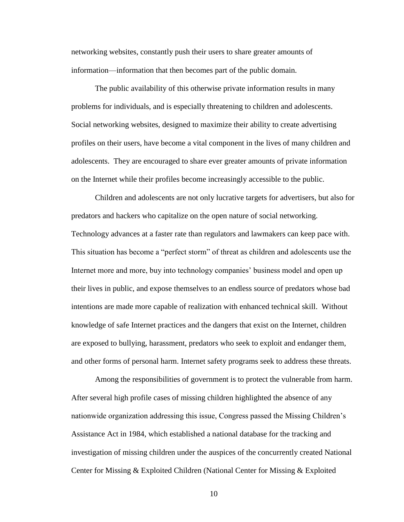networking websites, constantly push their users to share greater amounts of information—information that then becomes part of the public domain.

The public availability of this otherwise private information results in many problems for individuals, and is especially threatening to children and adolescents. Social networking websites, designed to maximize their ability to create advertising profiles on their users, have become a vital component in the lives of many children and adolescents. They are encouraged to share ever greater amounts of private information on the Internet while their profiles become increasingly accessible to the public.

Children and adolescents are not only lucrative targets for advertisers, but also for predators and hackers who capitalize on the open nature of social networking. Technology advances at a faster rate than regulators and lawmakers can keep pace with. This situation has become a "perfect storm" of threat as children and adolescents use the Internet more and more, buy into technology companies' business model and open up their lives in public, and expose themselves to an endless source of predators whose bad intentions are made more capable of realization with enhanced technical skill. Without knowledge of safe Internet practices and the dangers that exist on the Internet, children are exposed to bullying, harassment, predators who seek to exploit and endanger them, and other forms of personal harm. Internet safety programs seek to address these threats.

Among the responsibilities of government is to protect the vulnerable from harm. After several high profile cases of missing children highlighted the absence of any nationwide organization addressing this issue, Congress passed the Missing Children's Assistance Act in 1984, which established a national database for the tracking and investigation of missing children under the auspices of the concurrently created National Center for Missing & Exploited Children (National Center for Missing & Exploited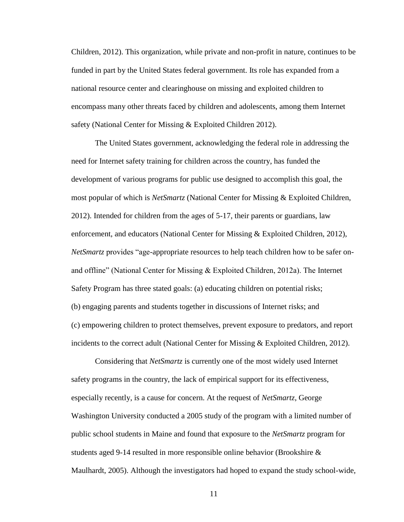Children, 2012). This organization, while private and non-profit in nature, continues to be funded in part by the United States federal government. Its role has expanded from a national resource center and clearinghouse on missing and exploited children to encompass many other threats faced by children and adolescents, among them Internet safety (National Center for Missing & Exploited Children 2012).

The United States government, acknowledging the federal role in addressing the need for Internet safety training for children across the country, has funded the development of various programs for public use designed to accomplish this goal, the most popular of which is *NetSmartz* (National Center for Missing & Exploited Children, 2012). Intended for children from the ages of 5-17, their parents or guardians, law enforcement, and educators (National Center for Missing & Exploited Children, 2012), *NetSmartz* provides "age-appropriate resources to help teach children how to be safer onand offline" (National Center for Missing & Exploited Children, 2012a). The Internet Safety Program has three stated goals: (a) educating children on potential risks; (b) engaging parents and students together in discussions of Internet risks; and (c) empowering children to protect themselves, prevent exposure to predators, and report incidents to the correct adult (National Center for Missing  $\&$  Exploited Children, 2012).

Considering that *NetSmartz* is currently one of the most widely used Internet safety programs in the country, the lack of empirical support for its effectiveness, especially recently, is a cause for concern. At the request of *NetSmartz*, George Washington University conducted a 2005 study of the program with a limited number of public school students in Maine and found that exposure to the *NetSmartz* program for students aged 9-14 resulted in more responsible online behavior (Brookshire & Maulhardt, 2005). Although the investigators had hoped to expand the study school-wide,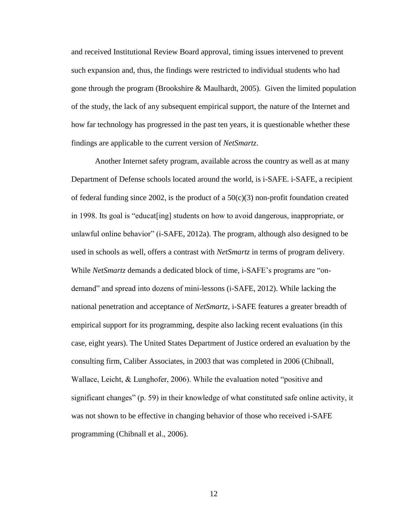and received Institutional Review Board approval, timing issues intervened to prevent such expansion and, thus, the findings were restricted to individual students who had gone through the program (Brookshire & Maulhardt, 2005). Given the limited population of the study, the lack of any subsequent empirical support, the nature of the Internet and how far technology has progressed in the past ten years, it is questionable whether these findings are applicable to the current version of *NetSmartz*.

Another Internet safety program, available across the country as well as at many Department of Defense schools located around the world, is i-SAFE. i-SAFE, a recipient of federal funding since 2002, is the product of a  $50(c)(3)$  non-profit foundation created in 1998. Its goal is "educat[ing] students on how to avoid dangerous, inappropriate, or unlawful online behavior" (i-SAFE, 2012a). The program, although also designed to be used in schools as well, offers a contrast with *NetSmartz* in terms of program delivery. While *NetSmartz* demands a dedicated block of time, i-SAFE's programs are "ondemand" and spread into dozens of mini-lessons (i-SAFE, 2012). While lacking the national penetration and acceptance of *NetSmartz*, i-SAFE features a greater breadth of empirical support for its programming, despite also lacking recent evaluations (in this case, eight years). The United States Department of Justice ordered an evaluation by the consulting firm, Caliber Associates, in 2003 that was completed in 2006 (Chibnall, Wallace, Leicht, & Lunghofer, 2006). While the evaluation noted "positive and significant changes" (p. 59) in their knowledge of what constituted safe online activity, it was not shown to be effective in changing behavior of those who received i-SAFE programming (Chibnall et al., 2006).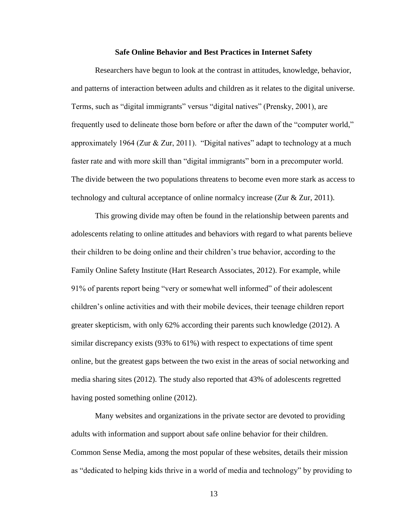#### **Safe Online Behavior and Best Practices in Internet Safety**

Researchers have begun to look at the contrast in attitudes, knowledge, behavior, and patterns of interaction between adults and children as it relates to the digital universe. Terms, such as "digital immigrants" versus "digital natives" (Prensky, 2001), are frequently used to delineate those born before or after the dawn of the "computer world," approximately 1964 (Zur  $& Zur, 2011$ ). "Digital natives" adapt to technology at a much faster rate and with more skill than "digital immigrants" born in a precomputer world. The divide between the two populations threatens to become even more stark as access to technology and cultural acceptance of online normalcy increase (Zur & Zur, 2011).

This growing divide may often be found in the relationship between parents and adolescents relating to online attitudes and behaviors with regard to what parents believe their children to be doing online and their children's true behavior, according to the Family Online Safety Institute (Hart Research Associates, 2012). For example, while 91% of parents report being "very or somewhat well informed" of their adolescent children's online activities and with their mobile devices, their teenage children report greater skepticism, with only 62% according their parents such knowledge (2012). A similar discrepancy exists (93% to 61%) with respect to expectations of time spent online, but the greatest gaps between the two exist in the areas of social networking and media sharing sites (2012). The study also reported that 43% of adolescents regretted having posted something online (2012).

Many websites and organizations in the private sector are devoted to providing adults with information and support about safe online behavior for their children. Common Sense Media, among the most popular of these websites, details their mission as "dedicated to helping kids thrive in a world of media and technology" by providing to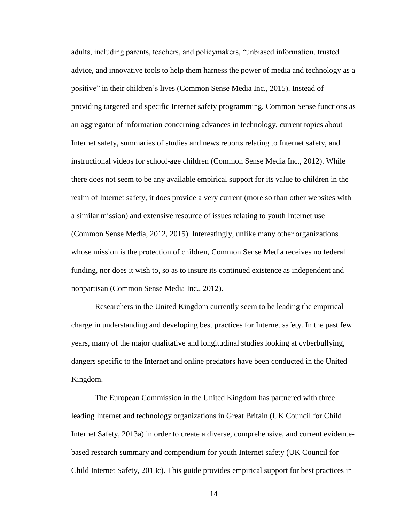adults, including parents, teachers, and policymakers, "unbiased information, trusted advice, and innovative tools to help them harness the power of media and technology as a positive" in their children's lives (Common Sense Media Inc., 2015). Instead of providing targeted and specific Internet safety programming, Common Sense functions as an aggregator of information concerning advances in technology, current topics about Internet safety, summaries of studies and news reports relating to Internet safety, and instructional videos for school-age children (Common Sense Media Inc., 2012). While there does not seem to be any available empirical support for its value to children in the realm of Internet safety, it does provide a very current (more so than other websites with a similar mission) and extensive resource of issues relating to youth Internet use (Common Sense Media, 2012, 2015). Interestingly, unlike many other organizations whose mission is the protection of children, Common Sense Media receives no federal funding, nor does it wish to, so as to insure its continued existence as independent and nonpartisan (Common Sense Media Inc., 2012).

Researchers in the United Kingdom currently seem to be leading the empirical charge in understanding and developing best practices for Internet safety. In the past few years, many of the major qualitative and longitudinal studies looking at cyberbullying, dangers specific to the Internet and online predators have been conducted in the United Kingdom.

The European Commission in the United Kingdom has partnered with three leading Internet and technology organizations in Great Britain (UK Council for Child Internet Safety, 2013a) in order to create a diverse, comprehensive, and current evidencebased research summary and compendium for youth Internet safety (UK Council for Child Internet Safety, 2013c). This guide provides empirical support for best practices in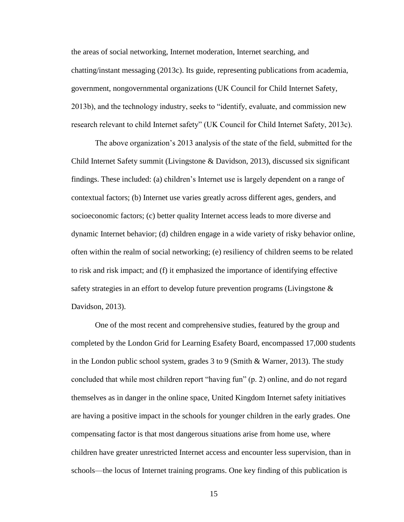the areas of social networking, Internet moderation, Internet searching, and chatting/instant messaging (2013c). Its guide, representing publications from academia, government, nongovernmental organizations (UK Council for Child Internet Safety, 2013b), and the technology industry, seeks to "identify, evaluate, and commission new research relevant to child Internet safety" (UK Council for Child Internet Safety, 2013c).

The above organization's 2013 analysis of the state of the field, submitted for the Child Internet Safety summit (Livingstone & Davidson, 2013), discussed six significant findings. These included: (a) children's Internet use is largely dependent on a range of contextual factors; (b) Internet use varies greatly across different ages, genders, and socioeconomic factors; (c) better quality Internet access leads to more diverse and dynamic Internet behavior; (d) children engage in a wide variety of risky behavior online, often within the realm of social networking; (e) resiliency of children seems to be related to risk and risk impact; and (f) it emphasized the importance of identifying effective safety strategies in an effort to develop future prevention programs (Livingstone & Davidson, 2013).

One of the most recent and comprehensive studies, featured by the group and completed by the London Grid for Learning Esafety Board, encompassed 17,000 students in the London public school system, grades 3 to 9 (Smith & Warner, 2013). The study concluded that while most children report "having fun" (p. 2) online, and do not regard themselves as in danger in the online space, United Kingdom Internet safety initiatives are having a positive impact in the schools for younger children in the early grades. One compensating factor is that most dangerous situations arise from home use, where children have greater unrestricted Internet access and encounter less supervision, than in schools—the locus of Internet training programs. One key finding of this publication is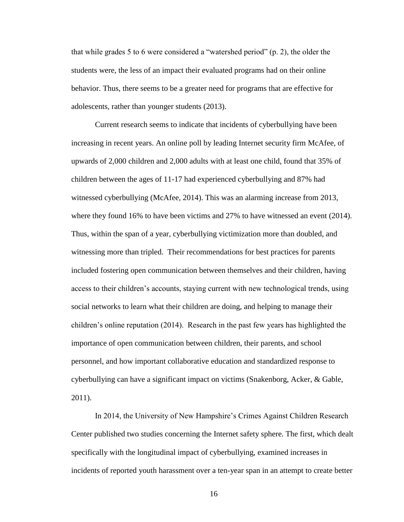that while grades 5 to 6 were considered a "watershed period" (p. 2), the older the students were, the less of an impact their evaluated programs had on their online behavior. Thus, there seems to be a greater need for programs that are effective for adolescents, rather than younger students (2013).

Current research seems to indicate that incidents of cyberbullying have been increasing in recent years. An online poll by leading Internet security firm McAfee, of upwards of 2,000 children and 2,000 adults with at least one child, found that 35% of children between the ages of 11-17 had experienced cyberbullying and 87% had witnessed cyberbullying (McAfee, 2014). This was an alarming increase from 2013, where they found 16% to have been victims and 27% to have witnessed an event (2014). Thus, within the span of a year, cyberbullying victimization more than doubled, and witnessing more than tripled. Their recommendations for best practices for parents included fostering open communication between themselves and their children, having access to their children's accounts, staying current with new technological trends, using social networks to learn what their children are doing, and helping to manage their children's online reputation (2014). Research in the past few years has highlighted the importance of open communication between children, their parents, and school personnel, and how important collaborative education and standardized response to cyberbullying can have a significant impact on victims (Snakenborg, Acker, & Gable, 2011).

In 2014, the University of New Hampshire's Crimes Against Children Research Center published two studies concerning the Internet safety sphere. The first, which dealt specifically with the longitudinal impact of cyberbullying, examined increases in incidents of reported youth harassment over a ten-year span in an attempt to create better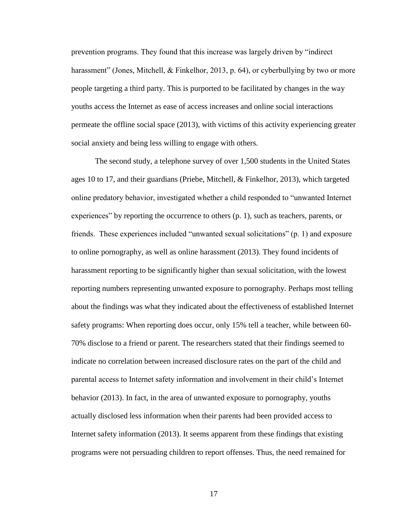prevention programs. They found that this increase was largely driven by "indirect harassment" (Jones, Mitchell, & Finkelhor, 2013, p. 64), or cyberbullying by two or more people targeting a third party. This is purported to be facilitated by changes in the way youths access the Internet as ease of access increases and online social interactions permeate the offline social space (2013), with victims of this activity experiencing greater social anxiety and being less willing to engage with others.

The second study, a telephone survey of over 1,500 students in the United States ages 10 to 17, and their guardians (Priebe, Mitchell, & Finkelhor, 2013), which targeted online predatory behavior, investigated whether a child responded to "unwanted Internet experiences" by reporting the occurrence to others (p. 1), such as teachers, parents, or friends. These experiences included "unwanted sexual solicitations" (p. 1) and exposure to online pornography, as well as online harassment (2013). They found incidents of harassment reporting to be significantly higher than sexual solicitation, with the lowest reporting numbers representing unwanted exposure to pornography. Perhaps most telling about the findings was what they indicated about the effectiveness of established Internet safety programs: When reporting does occur, only 15% tell a teacher, while between 60- 70% disclose to a friend or parent. The researchers stated that their findings seemed to indicate no correlation between increased disclosure rates on the part of the child and parental access to Internet safety information and involvement in their child's Internet behavior (2013). In fact, in the area of unwanted exposure to pornography, youths actually disclosed less information when their parents had been provided access to Internet safety information (2013). It seems apparent from these findings that existing programs were not persuading children to report offenses. Thus, the need remained for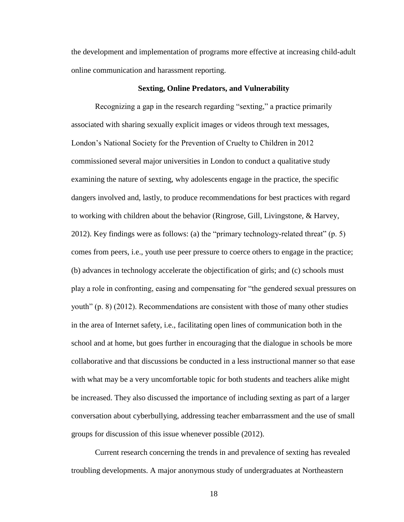the development and implementation of programs more effective at increasing child-adult online communication and harassment reporting.

### **Sexting, Online Predators, and Vulnerability**

Recognizing a gap in the research regarding "sexting," a practice primarily associated with sharing sexually explicit images or videos through text messages, London's National Society for the Prevention of Cruelty to Children in 2012 commissioned several major universities in London to conduct a qualitative study examining the nature of sexting, why adolescents engage in the practice, the specific dangers involved and, lastly, to produce recommendations for best practices with regard to working with children about the behavior (Ringrose, Gill, Livingstone, & Harvey, 2012). Key findings were as follows: (a) the "primary technology-related threat" (p. 5) comes from peers, i.e., youth use peer pressure to coerce others to engage in the practice; (b) advances in technology accelerate the objectification of girls; and (c) schools must play a role in confronting, easing and compensating for "the gendered sexual pressures on youth" (p. 8) (2012). Recommendations are consistent with those of many other studies in the area of Internet safety, i.e., facilitating open lines of communication both in the school and at home, but goes further in encouraging that the dialogue in schools be more collaborative and that discussions be conducted in a less instructional manner so that ease with what may be a very uncomfortable topic for both students and teachers alike might be increased. They also discussed the importance of including sexting as part of a larger conversation about cyberbullying, addressing teacher embarrassment and the use of small groups for discussion of this issue whenever possible (2012).

Current research concerning the trends in and prevalence of sexting has revealed troubling developments. A major anonymous study of undergraduates at Northeastern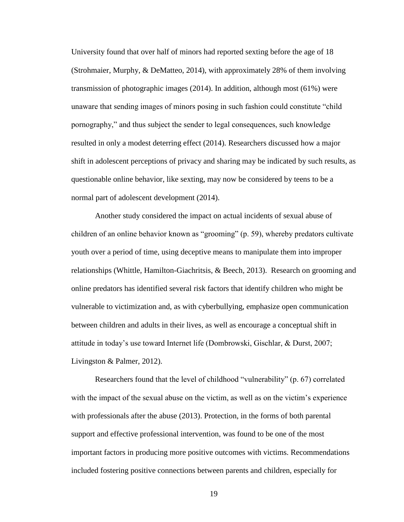University found that over half of minors had reported sexting before the age of 18 (Strohmaier, Murphy, & DeMatteo, 2014), with approximately 28% of them involving transmission of photographic images (2014). In addition, although most (61%) were unaware that sending images of minors posing in such fashion could constitute "child pornography," and thus subject the sender to legal consequences, such knowledge resulted in only a modest deterring effect (2014). Researchers discussed how a major shift in adolescent perceptions of privacy and sharing may be indicated by such results, as questionable online behavior, like sexting, may now be considered by teens to be a normal part of adolescent development (2014).

Another study considered the impact on actual incidents of sexual abuse of children of an online behavior known as "grooming" (p. 59), whereby predators cultivate youth over a period of time, using deceptive means to manipulate them into improper relationships (Whittle, Hamilton-Giachritsis, & Beech, 2013). Research on grooming and online predators has identified several risk factors that identify children who might be vulnerable to victimization and, as with cyberbullying, emphasize open communication between children and adults in their lives, as well as encourage a conceptual shift in attitude in today's use toward Internet life (Dombrowski, Gischlar, & Durst, 2007; Livingston & Palmer, 2012).

Researchers found that the level of childhood "vulnerability" (p. 67) correlated with the impact of the sexual abuse on the victim, as well as on the victim's experience with professionals after the abuse (2013). Protection, in the forms of both parental support and effective professional intervention, was found to be one of the most important factors in producing more positive outcomes with victims. Recommendations included fostering positive connections between parents and children, especially for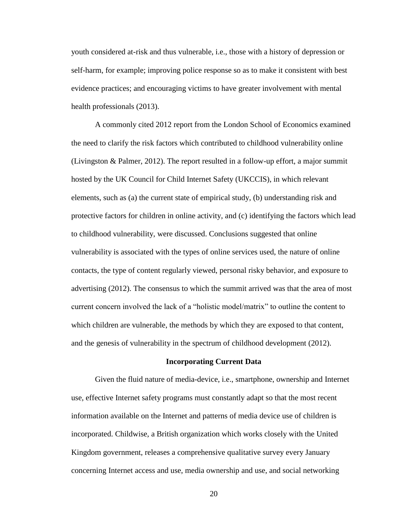youth considered at-risk and thus vulnerable, i.e., those with a history of depression or self-harm, for example; improving police response so as to make it consistent with best evidence practices; and encouraging victims to have greater involvement with mental health professionals (2013).

A commonly cited 2012 report from the London School of Economics examined the need to clarify the risk factors which contributed to childhood vulnerability online (Livingston & Palmer, 2012). The report resulted in a follow-up effort, a major summit hosted by the UK Council for Child Internet Safety (UKCCIS), in which relevant elements, such as (a) the current state of empirical study, (b) understanding risk and protective factors for children in online activity, and (c) identifying the factors which lead to childhood vulnerability, were discussed. Conclusions suggested that online vulnerability is associated with the types of online services used, the nature of online contacts, the type of content regularly viewed, personal risky behavior, and exposure to advertising (2012). The consensus to which the summit arrived was that the area of most current concern involved the lack of a "holistic model/matrix" to outline the content to which children are vulnerable, the methods by which they are exposed to that content, and the genesis of vulnerability in the spectrum of childhood development (2012).

#### **Incorporating Current Data**

Given the fluid nature of media-device, i.e., smartphone, ownership and Internet use, effective Internet safety programs must constantly adapt so that the most recent information available on the Internet and patterns of media device use of children is incorporated. Childwise, a British organization which works closely with the United Kingdom government, releases a comprehensive qualitative survey every January concerning Internet access and use, media ownership and use, and social networking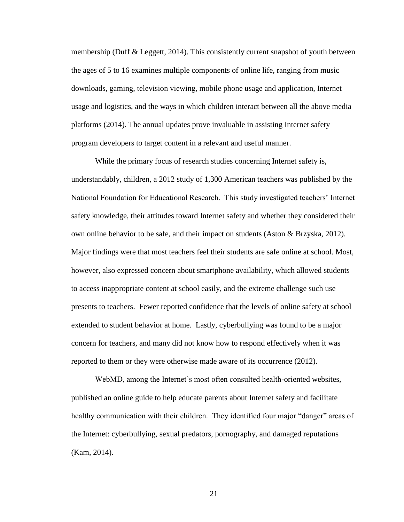membership (Duff & Leggett, 2014). This consistently current snapshot of youth between the ages of 5 to 16 examines multiple components of online life, ranging from music downloads, gaming, television viewing, mobile phone usage and application, Internet usage and logistics, and the ways in which children interact between all the above media platforms (2014). The annual updates prove invaluable in assisting Internet safety program developers to target content in a relevant and useful manner.

While the primary focus of research studies concerning Internet safety is, understandably, children, a 2012 study of 1,300 American teachers was published by the National Foundation for Educational Research. This study investigated teachers' Internet safety knowledge, their attitudes toward Internet safety and whether they considered their own online behavior to be safe, and their impact on students (Aston  $\&$  Brzyska, 2012). Major findings were that most teachers feel their students are safe online at school. Most, however, also expressed concern about smartphone availability, which allowed students to access inappropriate content at school easily, and the extreme challenge such use presents to teachers. Fewer reported confidence that the levels of online safety at school extended to student behavior at home. Lastly, cyberbullying was found to be a major concern for teachers, and many did not know how to respond effectively when it was reported to them or they were otherwise made aware of its occurrence (2012).

WebMD, among the Internet's most often consulted health-oriented websites, published an online guide to help educate parents about Internet safety and facilitate healthy communication with their children. They identified four major "danger" areas of the Internet: cyberbullying, sexual predators, pornography, and damaged reputations (Kam, 2014).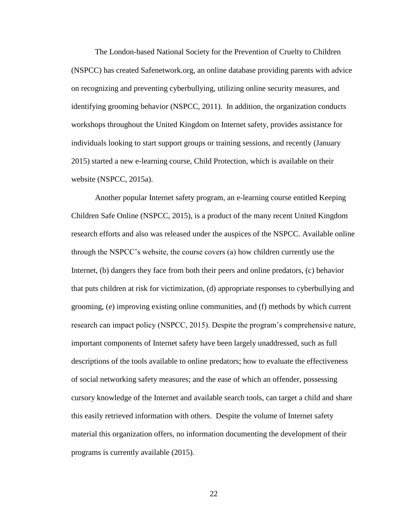The London-based National Society for the Prevention of Cruelty to Children (NSPCC) has created Safenetwork.org, an online database providing parents with advice on recognizing and preventing cyberbullying, utilizing online security measures, and identifying grooming behavior (NSPCC, 2011). In addition, the organization conducts workshops throughout the United Kingdom on Internet safety, provides assistance for individuals looking to start support groups or training sessions, and recently (January 2015) started a new e-learning course, Child Protection, which is available on their website (NSPCC, 2015a).

Another popular Internet safety program, an e-learning course entitled Keeping Children Safe Online (NSPCC, 2015), is a product of the many recent United Kingdom research efforts and also was released under the auspices of the NSPCC. Available online through the NSPCC's website, the course covers (a) how children currently use the Internet, (b) dangers they face from both their peers and online predators, (c) behavior that puts children at risk for victimization, (d) appropriate responses to cyberbullying and grooming, (e) improving existing online communities, and (f) methods by which current research can impact policy (NSPCC, 2015). Despite the program's comprehensive nature, important components of Internet safety have been largely unaddressed, such as full descriptions of the tools available to online predators; how to evaluate the effectiveness of social networking safety measures; and the ease of which an offender, possessing cursory knowledge of the Internet and available search tools, can target a child and share this easily retrieved information with others. Despite the volume of Internet safety material this organization offers, no information documenting the development of their programs is currently available (2015).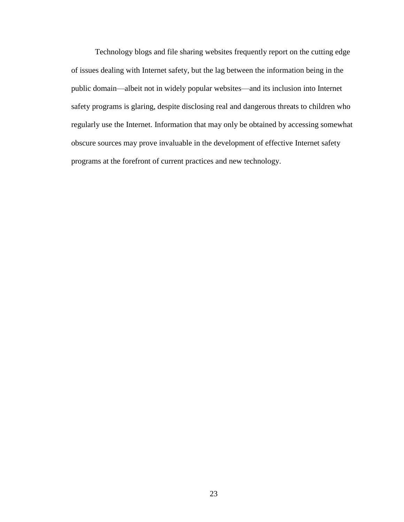Technology blogs and file sharing websites frequently report on the cutting edge of issues dealing with Internet safety, but the lag between the information being in the public domain—albeit not in widely popular websites—and its inclusion into Internet safety programs is glaring, despite disclosing real and dangerous threats to children who regularly use the Internet. Information that may only be obtained by accessing somewhat obscure sources may prove invaluable in the development of effective Internet safety programs at the forefront of current practices and new technology.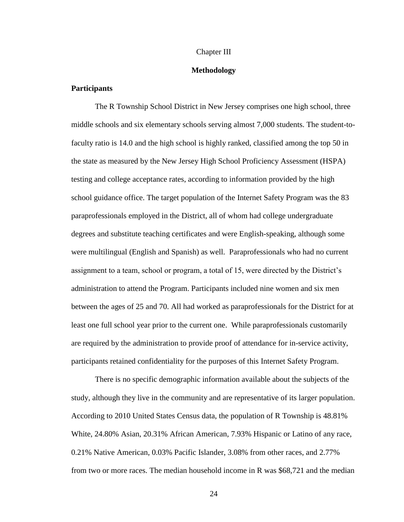#### Chapter III

#### **Methodology**

## **Participants**

The R Township School District in New Jersey comprises one high school, three middle schools and six elementary schools serving almost 7,000 students. The student-tofaculty ratio is 14.0 and the high school is highly ranked, classified among the top 50 in the state as measured by the New Jersey High School Proficiency Assessment (HSPA) testing and college acceptance rates, according to information provided by the high school guidance office. The target population of the Internet Safety Program was the 83 paraprofessionals employed in the District, all of whom had college undergraduate degrees and substitute teaching certificates and were English-speaking, although some were multilingual (English and Spanish) as well. Paraprofessionals who had no current assignment to a team, school or program, a total of 15, were directed by the District's administration to attend the Program. Participants included nine women and six men between the ages of 25 and 70. All had worked as paraprofessionals for the District for at least one full school year prior to the current one. While paraprofessionals customarily are required by the administration to provide proof of attendance for in-service activity, participants retained confidentiality for the purposes of this Internet Safety Program.

There is no specific demographic information available about the subjects of the study, although they live in the community and are representative of its larger population. According to 2010 United States Census data, the population of R Township is 48.81% White, 24.80% Asian, 20.31% African American, 7.93% Hispanic or Latino of any race, 0.21% Native American, 0.03% Pacific Islander, 3.08% from other races, and 2.77% from two or more races. The median household income in R was \$68,721 and the median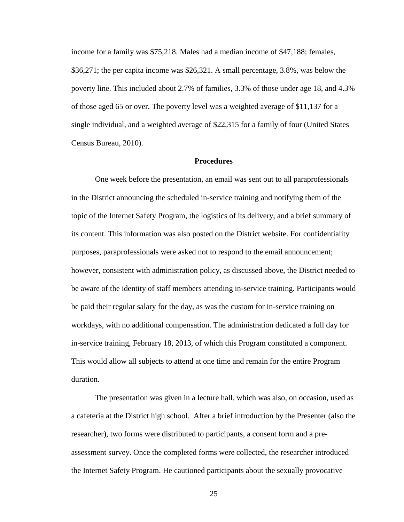income for a family was \$75,218. Males had a median income of \$47,188; females, \$36,271; the per capita income was \$26,321. A small percentage, 3.8%, was below the poverty line. This included about 2.7% of families, 3.3% of those under age 18, and 4.3% of those aged 65 or over. The poverty level was a weighted average of \$11,137 for a single individual, and a weighted average of \$22,315 for a family of four (United States Census Bureau, 2010).

#### **Procedures**

One week before the presentation, an email was sent out to all paraprofessionals in the District announcing the scheduled in-service training and notifying them of the topic of the Internet Safety Program, the logistics of its delivery, and a brief summary of its content. This information was also posted on the District website. For confidentiality purposes, paraprofessionals were asked not to respond to the email announcement; however, consistent with administration policy, as discussed above, the District needed to be aware of the identity of staff members attending in-service training. Participants would be paid their regular salary for the day, as was the custom for in-service training on workdays, with no additional compensation. The administration dedicated a full day for in-service training, February 18, 2013, of which this Program constituted a component. This would allow all subjects to attend at one time and remain for the entire Program duration.

The presentation was given in a lecture hall, which was also, on occasion, used as a cafeteria at the District high school. After a brief introduction by the Presenter (also the researcher), two forms were distributed to participants, a consent form and a preassessment survey. Once the completed forms were collected, the researcher introduced the Internet Safety Program. He cautioned participants about the sexually provocative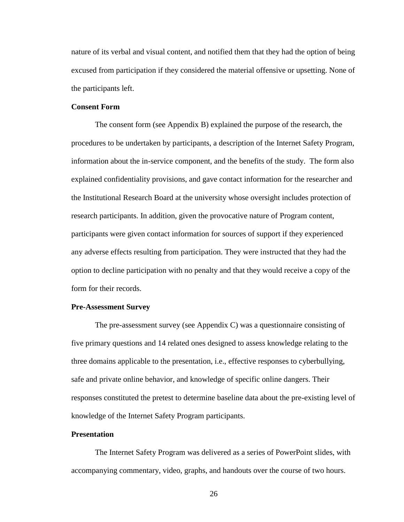nature of its verbal and visual content, and notified them that they had the option of being excused from participation if they considered the material offensive or upsetting. None of the participants left.

## **Consent Form**

The consent form (see Appendix B) explained the purpose of the research, the procedures to be undertaken by participants, a description of the Internet Safety Program, information about the in-service component, and the benefits of the study. The form also explained confidentiality provisions, and gave contact information for the researcher and the Institutional Research Board at the university whose oversight includes protection of research participants. In addition, given the provocative nature of Program content, participants were given contact information for sources of support if they experienced any adverse effects resulting from participation. They were instructed that they had the option to decline participation with no penalty and that they would receive a copy of the form for their records.

#### **Pre-Assessment Survey**

The pre-assessment survey (see Appendix C) was a questionnaire consisting of five primary questions and 14 related ones designed to assess knowledge relating to the three domains applicable to the presentation, i.e., effective responses to cyberbullying, safe and private online behavior, and knowledge of specific online dangers. Their responses constituted the pretest to determine baseline data about the pre-existing level of knowledge of the Internet Safety Program participants.

## **Presentation**

The Internet Safety Program was delivered as a series of PowerPoint slides, with accompanying commentary, video, graphs, and handouts over the course of two hours.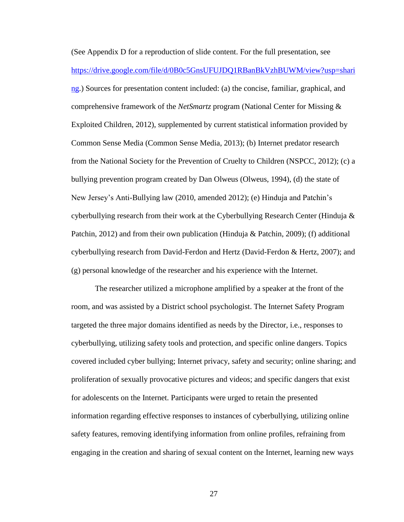(See Appendix D for a reproduction of slide content. For the full presentation, see [https://drive.google.com/file/d/0B0c5GnsUFUJDQ1RBanBkVzhBUWM/view?usp=shari](https://drive.google.com/file/d/0B0c5GnsUFUJDQ1RBanBkVzhBUWM/view?usp=sharing) [ng.](https://drive.google.com/file/d/0B0c5GnsUFUJDQ1RBanBkVzhBUWM/view?usp=sharing)) Sources for presentation content included: (a) the concise, familiar, graphical, and comprehensive framework of the *NetSmartz* program (National Center for Missing & Exploited Children, 2012), supplemented by current statistical information provided by Common Sense Media (Common Sense Media, 2013); (b) Internet predator research from the National Society for the Prevention of Cruelty to Children (NSPCC, 2012); (c) a bullying prevention program created by Dan Olweus (Olweus, 1994), (d) the state of New Jersey's Anti-Bullying law (2010, amended 2012); (e) Hinduja and Patchin's cyberbullying research from their work at the Cyberbullying Research Center (Hinduja & Patchin, 2012) and from their own publication (Hinduja & Patchin, 2009); (f) additional cyberbullying research from David-Ferdon and Hertz (David-Ferdon & Hertz, 2007); and (g) personal knowledge of the researcher and his experience with the Internet.

The researcher utilized a microphone amplified by a speaker at the front of the room, and was assisted by a District school psychologist. The Internet Safety Program targeted the three major domains identified as needs by the Director, i.e., responses to cyberbullying, utilizing safety tools and protection, and specific online dangers. Topics covered included cyber bullying; Internet privacy, safety and security; online sharing; and proliferation of sexually provocative pictures and videos; and specific dangers that exist for adolescents on the Internet. Participants were urged to retain the presented information regarding effective responses to instances of cyberbullying, utilizing online safety features, removing identifying information from online profiles, refraining from engaging in the creation and sharing of sexual content on the Internet, learning new ways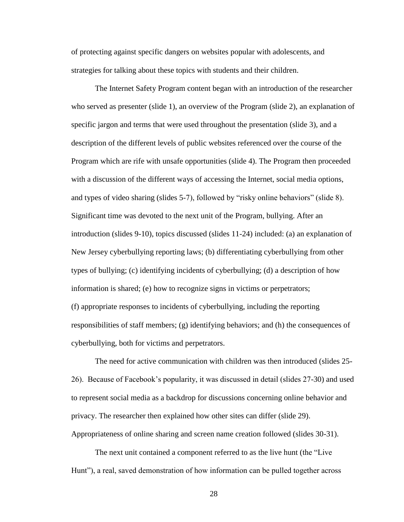of protecting against specific dangers on websites popular with adolescents, and strategies for talking about these topics with students and their children.

The Internet Safety Program content began with an introduction of the researcher who served as presenter (slide 1), an overview of the Program (slide 2), an explanation of specific jargon and terms that were used throughout the presentation (slide 3), and a description of the different levels of public websites referenced over the course of the Program which are rife with unsafe opportunities (slide 4). The Program then proceeded with a discussion of the different ways of accessing the Internet, social media options, and types of video sharing (slides 5-7), followed by "risky online behaviors" (slide 8). Significant time was devoted to the next unit of the Program, bullying. After an introduction (slides 9-10), topics discussed (slides 11-24) included: (a) an explanation of New Jersey cyberbullying reporting laws; (b) differentiating cyberbullying from other types of bullying; (c) identifying incidents of cyberbullying; (d) a description of how information is shared; (e) how to recognize signs in victims or perpetrators; (f) appropriate responses to incidents of cyberbullying, including the reporting responsibilities of staff members; (g) identifying behaviors; and (h) the consequences of cyberbullying, both for victims and perpetrators.

The need for active communication with children was then introduced (slides 25- 26). Because of Facebook's popularity, it was discussed in detail (slides 27-30) and used to represent social media as a backdrop for discussions concerning online behavior and privacy. The researcher then explained how other sites can differ (slide 29). Appropriateness of online sharing and screen name creation followed (slides 30-31).

The next unit contained a component referred to as the live hunt (the "Live Hunt"), a real, saved demonstration of how information can be pulled together across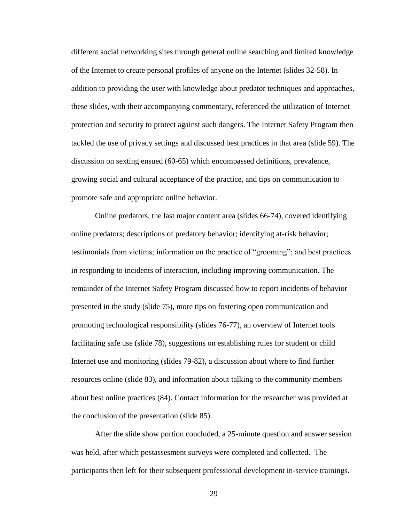different social networking sites through general online searching and limited knowledge of the Internet to create personal profiles of anyone on the Internet (slides 32-58). In addition to providing the user with knowledge about predator techniques and approaches, these slides, with their accompanying commentary, referenced the utilization of Internet protection and security to protect against such dangers. The Internet Safety Program then tackled the use of privacy settings and discussed best practices in that area (slide 59). The discussion on sexting ensued (60-65) which encompassed definitions, prevalence, growing social and cultural acceptance of the practice, and tips on communication to promote safe and appropriate online behavior.

Online predators, the last major content area (slides 66-74), covered identifying online predators; descriptions of predatory behavior; identifying at-risk behavior; testimonials from victims; information on the practice of "grooming"; and best practices in responding to incidents of interaction, including improving communication. The remainder of the Internet Safety Program discussed how to report incidents of behavior presented in the study (slide 75), more tips on fostering open communication and promoting technological responsibility (slides 76-77), an overview of Internet tools facilitating safe use (slide 78), suggestions on establishing rules for student or child Internet use and monitoring (slides 79-82), a discussion about where to find further resources online (slide 83), and information about talking to the community members about best online practices (84). Contact information for the researcher was provided at the conclusion of the presentation (slide 85).

After the slide show portion concluded, a 25-minute question and answer session was held, after which postassesment surveys were completed and collected. The participants then left for their subsequent professional development in-service trainings.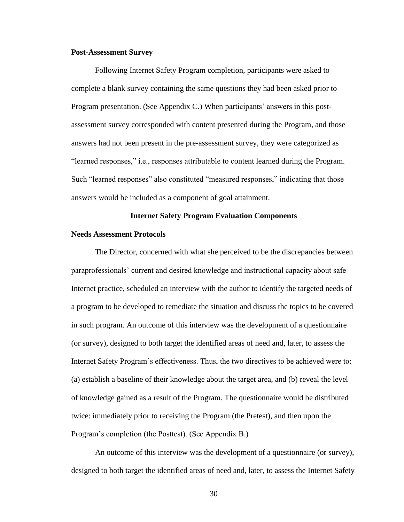#### **Post-Assessment Survey**

Following Internet Safety Program completion, participants were asked to complete a blank survey containing the same questions they had been asked prior to Program presentation. (See Appendix C.) When participants' answers in this postassessment survey corresponded with content presented during the Program, and those answers had not been present in the pre-assessment survey, they were categorized as "learned responses," i.e., responses attributable to content learned during the Program. Such "learned responses" also constituted "measured responses," indicating that those answers would be included as a component of goal attainment.

### **Internet Safety Program Evaluation Components**

#### **Needs Assessment Protocols**

The Director, concerned with what she perceived to be the discrepancies between paraprofessionals' current and desired knowledge and instructional capacity about safe Internet practice, scheduled an interview with the author to identify the targeted needs of a program to be developed to remediate the situation and discuss the topics to be covered in such program. An outcome of this interview was the development of a questionnaire (or survey), designed to both target the identified areas of need and, later, to assess the Internet Safety Program's effectiveness. Thus, the two directives to be achieved were to: (a) establish a baseline of their knowledge about the target area, and (b) reveal the level of knowledge gained as a result of the Program. The questionnaire would be distributed twice: immediately prior to receiving the Program (the Pretest), and then upon the Program's completion (the Posttest). (See Appendix B.)

An outcome of this interview was the development of a questionnaire (or survey), designed to both target the identified areas of need and, later, to assess the Internet Safety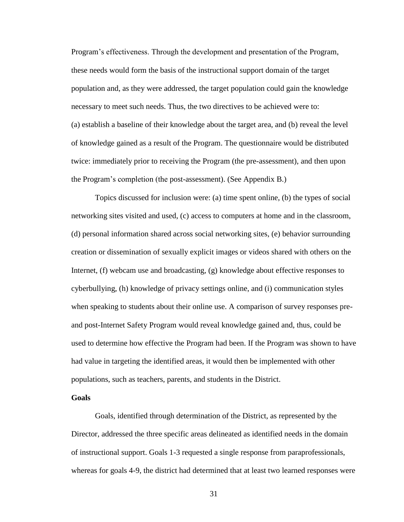Program's effectiveness. Through the development and presentation of the Program, these needs would form the basis of the instructional support domain of the target population and, as they were addressed, the target population could gain the knowledge necessary to meet such needs. Thus, the two directives to be achieved were to: (a) establish a baseline of their knowledge about the target area, and (b) reveal the level of knowledge gained as a result of the Program. The questionnaire would be distributed twice: immediately prior to receiving the Program (the pre-assessment), and then upon the Program's completion (the post-assessment). (See Appendix B.)

Topics discussed for inclusion were: (a) time spent online, (b) the types of social networking sites visited and used, (c) access to computers at home and in the classroom, (d) personal information shared across social networking sites, (e) behavior surrounding creation or dissemination of sexually explicit images or videos shared with others on the Internet, (f) webcam use and broadcasting, (g) knowledge about effective responses to cyberbullying, (h) knowledge of privacy settings online, and (i) communication styles when speaking to students about their online use. A comparison of survey responses preand post-Internet Safety Program would reveal knowledge gained and, thus, could be used to determine how effective the Program had been. If the Program was shown to have had value in targeting the identified areas, it would then be implemented with other populations, such as teachers, parents, and students in the District.

## **Goals**

Goals, identified through determination of the District, as represented by the Director, addressed the three specific areas delineated as identified needs in the domain of instructional support. Goals 1-3 requested a single response from paraprofessionals, whereas for goals 4-9, the district had determined that at least two learned responses were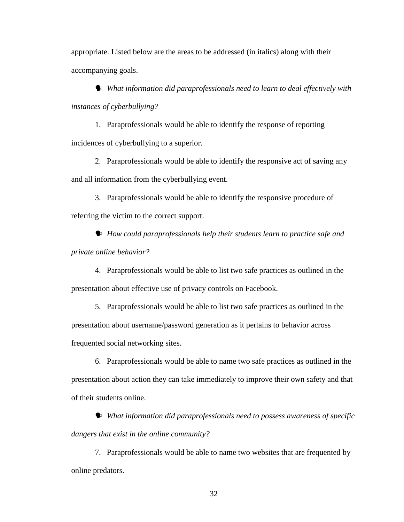appropriate. Listed below are the areas to be addressed (in italics) along with their accompanying goals.

 *What information did paraprofessionals need to learn to deal effectively with instances of cyberbullying?*

1. Paraprofessionals would be able to identify the response of reporting incidences of cyberbullying to a superior.

2. Paraprofessionals would be able to identify the responsive act of saving any and all information from the cyberbullying event.

3. Paraprofessionals would be able to identify the responsive procedure of referring the victim to the correct support.

 *How could paraprofessionals help their students learn to practice safe and private online behavior?*

4. Paraprofessionals would be able to list two safe practices as outlined in the presentation about effective use of privacy controls on Facebook.

5. Paraprofessionals would be able to list two safe practices as outlined in the presentation about username/password generation as it pertains to behavior across frequented social networking sites.

6. Paraprofessionals would be able to name two safe practices as outlined in the presentation about action they can take immediately to improve their own safety and that of their students online.

 *What information did paraprofessionals need to possess awareness of specific dangers that exist in the online community?*

7. Paraprofessionals would be able to name two websites that are frequented by online predators.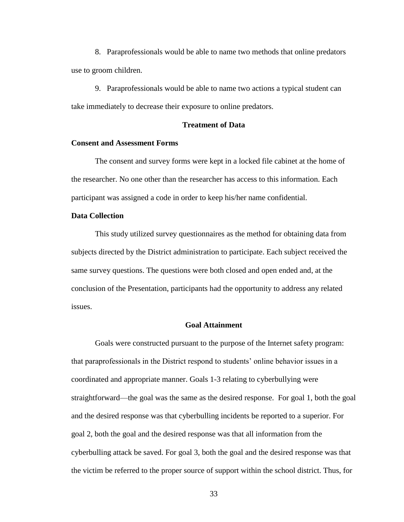8. Paraprofessionals would be able to name two methods that online predators use to groom children.

9. Paraprofessionals would be able to name two actions a typical student can take immediately to decrease their exposure to online predators.

### **Treatment of Data**

### **Consent and Assessment Forms**

The consent and survey forms were kept in a locked file cabinet at the home of the researcher. No one other than the researcher has access to this information. Each participant was assigned a code in order to keep his/her name confidential.

# **Data Collection**

This study utilized survey questionnaires as the method for obtaining data from subjects directed by the District administration to participate. Each subject received the same survey questions. The questions were both closed and open ended and, at the conclusion of the Presentation, participants had the opportunity to address any related issues.

# **Goal Attainment**

Goals were constructed pursuant to the purpose of the Internet safety program: that paraprofessionals in the District respond to students' online behavior issues in a coordinated and appropriate manner. Goals 1-3 relating to cyberbullying were straightforward—the goal was the same as the desired response. For goal 1, both the goal and the desired response was that cyberbulling incidents be reported to a superior. For goal 2, both the goal and the desired response was that all information from the cyberbulling attack be saved. For goal 3, both the goal and the desired response was that the victim be referred to the proper source of support within the school district. Thus, for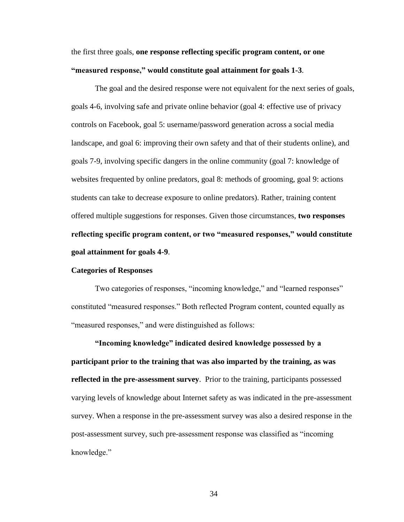the first three goals, **one response reflecting specific program content, or one "measured response," would constitute goal attainment for goals 1-3**.

The goal and the desired response were not equivalent for the next series of goals, goals 4-6, involving safe and private online behavior (goal 4: effective use of privacy controls on Facebook, goal 5: username/password generation across a social media landscape, and goal 6: improving their own safety and that of their students online), and goals 7-9, involving specific dangers in the online community (goal 7: knowledge of websites frequented by online predators, goal 8: methods of grooming, goal 9: actions students can take to decrease exposure to online predators). Rather, training content offered multiple suggestions for responses. Given those circumstances, **two responses reflecting specific program content, or two "measured responses," would constitute goal attainment for goals 4-9**.

### **Categories of Responses**

Two categories of responses, "incoming knowledge," and "learned responses" constituted "measured responses." Both reflected Program content, counted equally as "measured responses," and were distinguished as follows:

**"Incoming knowledge" indicated desired knowledge possessed by a participant prior to the training that was also imparted by the training, as was reflected in the pre-assessment survey**. Prior to the training, participants possessed varying levels of knowledge about Internet safety as was indicated in the pre-assessment survey. When a response in the pre-assessment survey was also a desired response in the post-assessment survey, such pre-assessment response was classified as "incoming knowledge."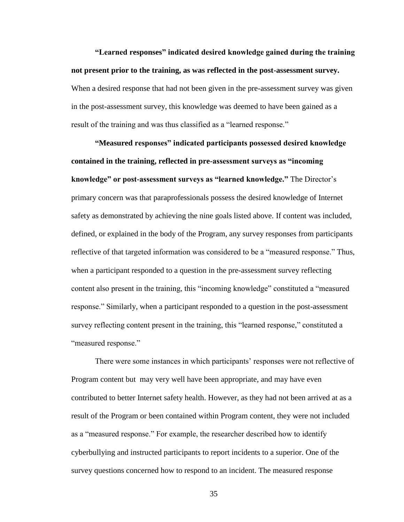**"Learned responses" indicated desired knowledge gained during the training not present prior to the training, as was reflected in the post-assessment survey.** When a desired response that had not been given in the pre-assessment survey was given in the post-assessment survey, this knowledge was deemed to have been gained as a result of the training and was thus classified as a "learned response."

**"Measured responses" indicated participants possessed desired knowledge contained in the training, reflected in pre-assessment surveys as "incoming knowledge" or post-assessment surveys as "learned knowledge."** The Director's primary concern was that paraprofessionals possess the desired knowledge of Internet safety as demonstrated by achieving the nine goals listed above. If content was included, defined, or explained in the body of the Program, any survey responses from participants reflective of that targeted information was considered to be a "measured response." Thus, when a participant responded to a question in the pre-assessment survey reflecting content also present in the training, this "incoming knowledge" constituted a "measured response." Similarly, when a participant responded to a question in the post-assessment survey reflecting content present in the training, this "learned response," constituted a "measured response."

There were some instances in which participants' responses were not reflective of Program content but may very well have been appropriate, and may have even contributed to better Internet safety health. However, as they had not been arrived at as a result of the Program or been contained within Program content, they were not included as a "measured response." For example, the researcher described how to identify cyberbullying and instructed participants to report incidents to a superior. One of the survey questions concerned how to respond to an incident. The measured response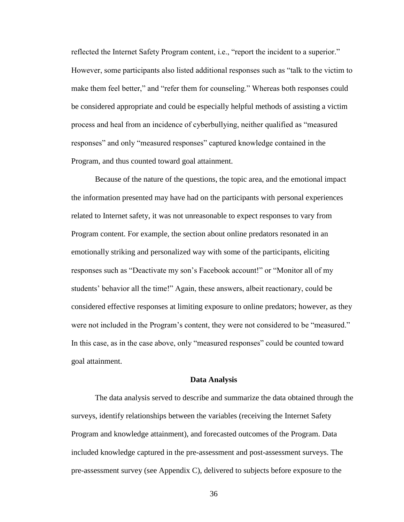reflected the Internet Safety Program content, i.e., "report the incident to a superior." However, some participants also listed additional responses such as "talk to the victim to make them feel better," and "refer them for counseling." Whereas both responses could be considered appropriate and could be especially helpful methods of assisting a victim process and heal from an incidence of cyberbullying, neither qualified as "measured responses" and only "measured responses" captured knowledge contained in the Program, and thus counted toward goal attainment.

Because of the nature of the questions, the topic area, and the emotional impact the information presented may have had on the participants with personal experiences related to Internet safety, it was not unreasonable to expect responses to vary from Program content. For example, the section about online predators resonated in an emotionally striking and personalized way with some of the participants, eliciting responses such as "Deactivate my son's Facebook account!" or "Monitor all of my students' behavior all the time!" Again, these answers, albeit reactionary, could be considered effective responses at limiting exposure to online predators; however, as they were not included in the Program's content, they were not considered to be "measured." In this case, as in the case above, only "measured responses" could be counted toward goal attainment.

#### **Data Analysis**

The data analysis served to describe and summarize the data obtained through the surveys, identify relationships between the variables (receiving the Internet Safety Program and knowledge attainment), and forecasted outcomes of the Program. Data included knowledge captured in the pre-assessment and post-assessment surveys. The pre-assessment survey (see Appendix C), delivered to subjects before exposure to the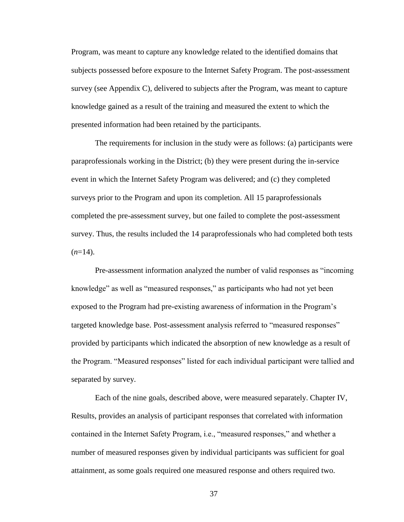Program, was meant to capture any knowledge related to the identified domains that subjects possessed before exposure to the Internet Safety Program. The post-assessment survey (see Appendix C), delivered to subjects after the Program, was meant to capture knowledge gained as a result of the training and measured the extent to which the presented information had been retained by the participants.

The requirements for inclusion in the study were as follows: (a) participants were paraprofessionals working in the District; (b) they were present during the in-service event in which the Internet Safety Program was delivered; and (c) they completed surveys prior to the Program and upon its completion. All 15 paraprofessionals completed the pre-assessment survey, but one failed to complete the post-assessment survey. Thus, the results included the 14 paraprofessionals who had completed both tests  $(n=14)$ .

Pre-assessment information analyzed the number of valid responses as "incoming knowledge" as well as "measured responses," as participants who had not yet been exposed to the Program had pre-existing awareness of information in the Program's targeted knowledge base. Post-assessment analysis referred to "measured responses" provided by participants which indicated the absorption of new knowledge as a result of the Program. "Measured responses" listed for each individual participant were tallied and separated by survey.

Each of the nine goals, described above, were measured separately. Chapter IV, Results, provides an analysis of participant responses that correlated with information contained in the Internet Safety Program, i.e., "measured responses," and whether a number of measured responses given by individual participants was sufficient for goal attainment, as some goals required one measured response and others required two.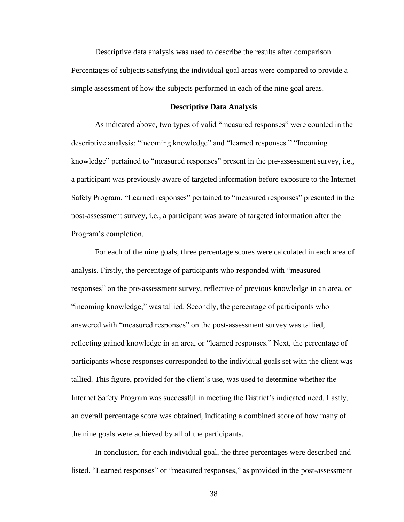Descriptive data analysis was used to describe the results after comparison.

Percentages of subjects satisfying the individual goal areas were compared to provide a simple assessment of how the subjects performed in each of the nine goal areas.

# **Descriptive Data Analysis**

As indicated above, two types of valid "measured responses" were counted in the descriptive analysis: "incoming knowledge" and "learned responses." "Incoming knowledge" pertained to "measured responses" present in the pre-assessment survey, i.e., a participant was previously aware of targeted information before exposure to the Internet Safety Program. "Learned responses" pertained to "measured responses" presented in the post-assessment survey, i.e., a participant was aware of targeted information after the Program's completion.

For each of the nine goals, three percentage scores were calculated in each area of analysis. Firstly, the percentage of participants who responded with "measured responses" on the pre-assessment survey, reflective of previous knowledge in an area, or "incoming knowledge," was tallied. Secondly, the percentage of participants who answered with "measured responses" on the post-assessment survey was tallied, reflecting gained knowledge in an area, or "learned responses." Next, the percentage of participants whose responses corresponded to the individual goals set with the client was tallied. This figure, provided for the client's use, was used to determine whether the Internet Safety Program was successful in meeting the District's indicated need. Lastly, an overall percentage score was obtained, indicating a combined score of how many of the nine goals were achieved by all of the participants.

In conclusion, for each individual goal, the three percentages were described and listed. "Learned responses" or "measured responses," as provided in the post-assessment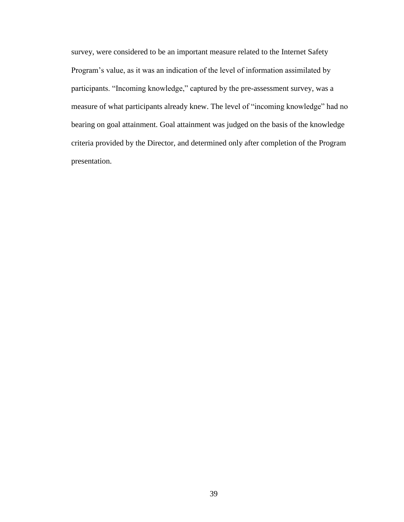survey, were considered to be an important measure related to the Internet Safety Program's value, as it was an indication of the level of information assimilated by participants. "Incoming knowledge," captured by the pre-assessment survey, was a measure of what participants already knew. The level of "incoming knowledge" had no bearing on goal attainment. Goal attainment was judged on the basis of the knowledge criteria provided by the Director, and determined only after completion of the Program presentation.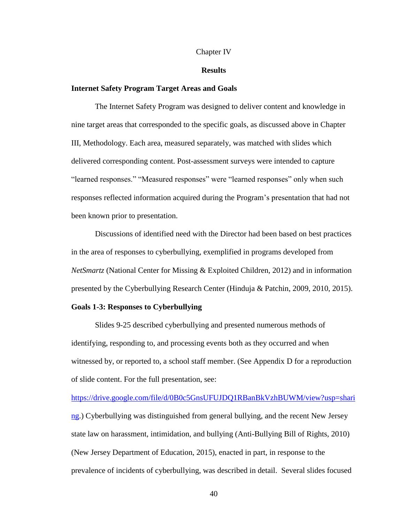#### Chapter IV

### **Results**

## **Internet Safety Program Target Areas and Goals**

The Internet Safety Program was designed to deliver content and knowledge in nine target areas that corresponded to the specific goals, as discussed above in Chapter III, Methodology. Each area, measured separately, was matched with slides which delivered corresponding content. Post-assessment surveys were intended to capture "learned responses." "Measured responses" were "learned responses" only when such responses reflected information acquired during the Program's presentation that had not been known prior to presentation.

Discussions of identified need with the Director had been based on best practices in the area of responses to cyberbullying, exemplified in programs developed from *NetSmartz* (National Center for Missing & Exploited Children, 2012) and in information presented by the Cyberbullying Research Center (Hinduja & Patchin, 2009, 2010, 2015).

### **Goals 1-3: Responses to Cyberbullying**

Slides 9-25 described cyberbullying and presented numerous methods of identifying, responding to, and processing events both as they occurred and when witnessed by, or reported to, a school staff member. (See Appendix D for a reproduction of slide content. For the full presentation, see:

[https://drive.google.com/file/d/0B0c5GnsUFUJDQ1RBanBkVzhBUWM/view?usp=shari](https://drive.google.com/file/d/0B0c5GnsUFUJDQ1RBanBkVzhBUWM/view?usp=sharing) [ng.](https://drive.google.com/file/d/0B0c5GnsUFUJDQ1RBanBkVzhBUWM/view?usp=sharing)) Cyberbullying was distinguished from general bullying, and the recent New Jersey state law on harassment, intimidation, and bullying (Anti-Bullying Bill of Rights, 2010) (New Jersey Department of Education, 2015), enacted in part, in response to the prevalence of incidents of cyberbullying, was described in detail. Several slides focused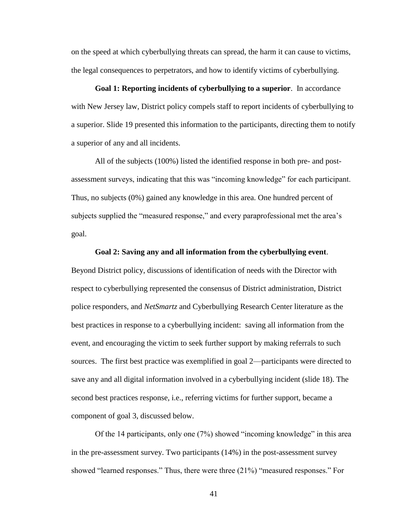on the speed at which cyberbullying threats can spread, the harm it can cause to victims, the legal consequences to perpetrators, and how to identify victims of cyberbullying.

**Goal 1: Reporting incidents of cyberbullying to a superior**. In accordance with New Jersey law, District policy compels staff to report incidents of cyberbullying to a superior. Slide 19 presented this information to the participants, directing them to notify a superior of any and all incidents.

All of the subjects (100%) listed the identified response in both pre- and postassessment surveys, indicating that this was "incoming knowledge" for each participant. Thus, no subjects (0%) gained any knowledge in this area. One hundred percent of subjects supplied the "measured response," and every paraprofessional met the area's goal.

#### **Goal 2: Saving any and all information from the cyberbullying event**.

Beyond District policy, discussions of identification of needs with the Director with respect to cyberbullying represented the consensus of District administration, District police responders, and *NetSmartz* and Cyberbullying Research Center literature as the best practices in response to a cyberbullying incident: saving all information from the event, and encouraging the victim to seek further support by making referrals to such sources. The first best practice was exemplified in goal 2—participants were directed to save any and all digital information involved in a cyberbullying incident (slide 18). The second best practices response, i.e., referring victims for further support, became a component of goal 3, discussed below.

Of the 14 participants, only one (7%) showed "incoming knowledge" in this area in the pre-assessment survey. Two participants (14%) in the post-assessment survey showed "learned responses." Thus, there were three (21%) "measured responses." For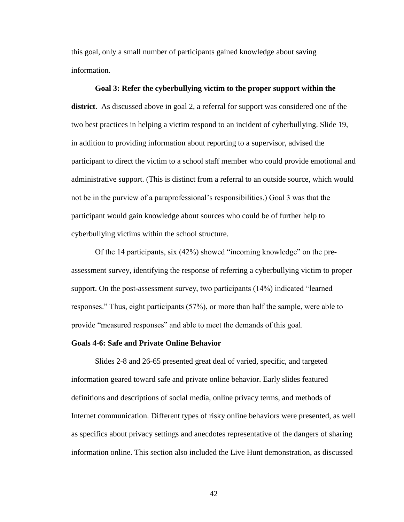this goal, only a small number of participants gained knowledge about saving information.

## **Goal 3: Refer the cyberbullying victim to the proper support within the**

**district**. As discussed above in goal 2, a referral for support was considered one of the two best practices in helping a victim respond to an incident of cyberbullying. Slide 19, in addition to providing information about reporting to a supervisor, advised the participant to direct the victim to a school staff member who could provide emotional and administrative support. (This is distinct from a referral to an outside source, which would not be in the purview of a paraprofessional's responsibilities.) Goal 3 was that the participant would gain knowledge about sources who could be of further help to cyberbullying victims within the school structure.

Of the 14 participants, six (42%) showed "incoming knowledge" on the preassessment survey, identifying the response of referring a cyberbullying victim to proper support. On the post-assessment survey, two participants (14%) indicated "learned responses." Thus, eight participants (57%), or more than half the sample, were able to provide "measured responses" and able to meet the demands of this goal.

### **Goals 4-6: Safe and Private Online Behavior**

Slides 2-8 and 26-65 presented great deal of varied, specific, and targeted information geared toward safe and private online behavior. Early slides featured definitions and descriptions of social media, online privacy terms, and methods of Internet communication. Different types of risky online behaviors were presented, as well as specifics about privacy settings and anecdotes representative of the dangers of sharing information online. This section also included the Live Hunt demonstration, as discussed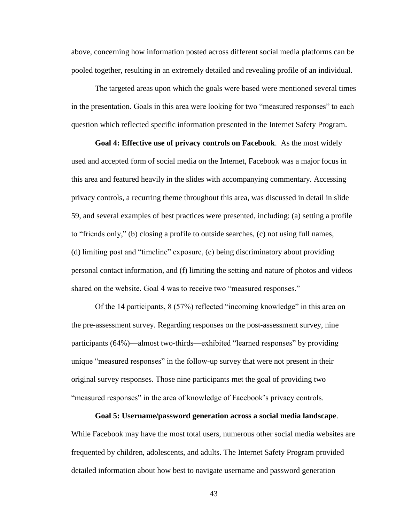above, concerning how information posted across different social media platforms can be pooled together, resulting in an extremely detailed and revealing profile of an individual.

The targeted areas upon which the goals were based were mentioned several times in the presentation. Goals in this area were looking for two "measured responses" to each question which reflected specific information presented in the Internet Safety Program.

**Goal 4: Effective use of privacy controls on Facebook**. As the most widely used and accepted form of social media on the Internet, Facebook was a major focus in this area and featured heavily in the slides with accompanying commentary. Accessing privacy controls, a recurring theme throughout this area, was discussed in detail in slide 59, and several examples of best practices were presented, including: (a) setting a profile to "friends only," (b) closing a profile to outside searches, (c) not using full names, (d) limiting post and "timeline" exposure, (e) being discriminatory about providing personal contact information, and (f) limiting the setting and nature of photos and videos shared on the website. Goal 4 was to receive two "measured responses."

Of the 14 participants, 8 (57%) reflected "incoming knowledge" in this area on the pre-assessment survey. Regarding responses on the post-assessment survey, nine participants (64%)—almost two-thirds—exhibited "learned responses" by providing unique "measured responses" in the follow-up survey that were not present in their original survey responses. Those nine participants met the goal of providing two "measured responses" in the area of knowledge of Facebook's privacy controls.

**Goal 5: Username/password generation across a social media landscape**.

While Facebook may have the most total users, numerous other social media websites are frequented by children, adolescents, and adults. The Internet Safety Program provided detailed information about how best to navigate username and password generation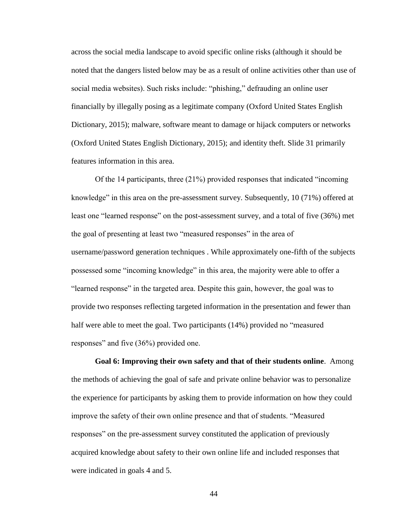across the social media landscape to avoid specific online risks (although it should be noted that the dangers listed below may be as a result of online activities other than use of social media websites). Such risks include: "phishing," defrauding an online user financially by illegally posing as a legitimate company (Oxford United States English Dictionary, 2015); malware, software meant to damage or hijack computers or networks (Oxford United States English Dictionary, 2015); and identity theft. Slide 31 primarily features information in this area.

Of the 14 participants, three (21%) provided responses that indicated "incoming knowledge" in this area on the pre-assessment survey. Subsequently, 10 (71%) offered at least one "learned response" on the post-assessment survey, and a total of five (36%) met the goal of presenting at least two "measured responses" in the area of username/password generation techniques . While approximately one-fifth of the subjects possessed some "incoming knowledge" in this area, the majority were able to offer a "learned response" in the targeted area. Despite this gain, however, the goal was to provide two responses reflecting targeted information in the presentation and fewer than half were able to meet the goal. Two participants (14%) provided no "measured responses" and five (36%) provided one.

**Goal 6: Improving their own safety and that of their students online**. Among the methods of achieving the goal of safe and private online behavior was to personalize the experience for participants by asking them to provide information on how they could improve the safety of their own online presence and that of students. "Measured responses" on the pre-assessment survey constituted the application of previously acquired knowledge about safety to their own online life and included responses that were indicated in goals 4 and 5.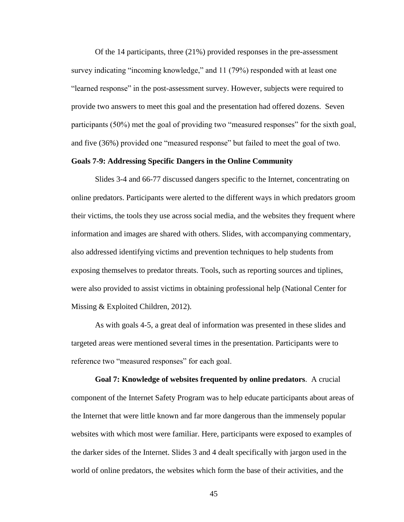Of the 14 participants, three (21%) provided responses in the pre-assessment survey indicating "incoming knowledge," and 11 (79%) responded with at least one "learned response" in the post-assessment survey. However, subjects were required to provide two answers to meet this goal and the presentation had offered dozens. Seven participants (50%) met the goal of providing two "measured responses" for the sixth goal, and five (36%) provided one "measured response" but failed to meet the goal of two.

## **Goals 7-9: Addressing Specific Dangers in the Online Community**

Slides 3-4 and 66-77 discussed dangers specific to the Internet, concentrating on online predators. Participants were alerted to the different ways in which predators groom their victims, the tools they use across social media, and the websites they frequent where information and images are shared with others. Slides, with accompanying commentary, also addressed identifying victims and prevention techniques to help students from exposing themselves to predator threats. Tools, such as reporting sources and tiplines, were also provided to assist victims in obtaining professional help (National Center for Missing & Exploited Children, 2012).

As with goals 4-5, a great deal of information was presented in these slides and targeted areas were mentioned several times in the presentation. Participants were to reference two "measured responses" for each goal.

**Goal 7: Knowledge of websites frequented by online predators**. A crucial component of the Internet Safety Program was to help educate participants about areas of the Internet that were little known and far more dangerous than the immensely popular websites with which most were familiar. Here, participants were exposed to examples of the darker sides of the Internet. Slides 3 and 4 dealt specifically with jargon used in the world of online predators, the websites which form the base of their activities, and the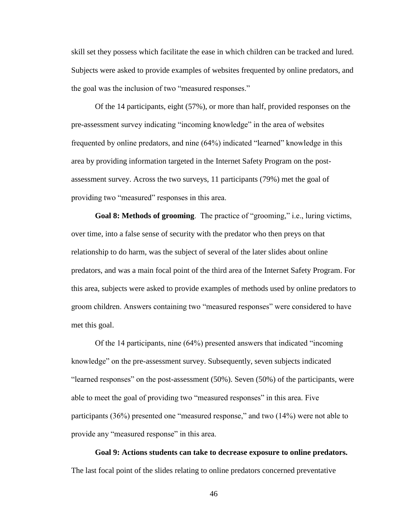skill set they possess which facilitate the ease in which children can be tracked and lured. Subjects were asked to provide examples of websites frequented by online predators, and the goal was the inclusion of two "measured responses."

Of the 14 participants, eight (57%), or more than half, provided responses on the pre-assessment survey indicating "incoming knowledge" in the area of websites frequented by online predators, and nine (64%) indicated "learned" knowledge in this area by providing information targeted in the Internet Safety Program on the postassessment survey. Across the two surveys, 11 participants (79%) met the goal of providing two "measured" responses in this area.

**Goal 8: Methods of grooming**. The practice of "grooming," i.e., luring victims, over time, into a false sense of security with the predator who then preys on that relationship to do harm, was the subject of several of the later slides about online predators, and was a main focal point of the third area of the Internet Safety Program. For this area, subjects were asked to provide examples of methods used by online predators to groom children. Answers containing two "measured responses" were considered to have met this goal.

Of the 14 participants, nine (64%) presented answers that indicated "incoming knowledge" on the pre-assessment survey. Subsequently, seven subjects indicated "learned responses" on the post-assessment (50%). Seven (50%) of the participants, were able to meet the goal of providing two "measured responses" in this area. Five participants (36%) presented one "measured response," and two (14%) were not able to provide any "measured response" in this area.

**Goal 9: Actions students can take to decrease exposure to online predators.** The last focal point of the slides relating to online predators concerned preventative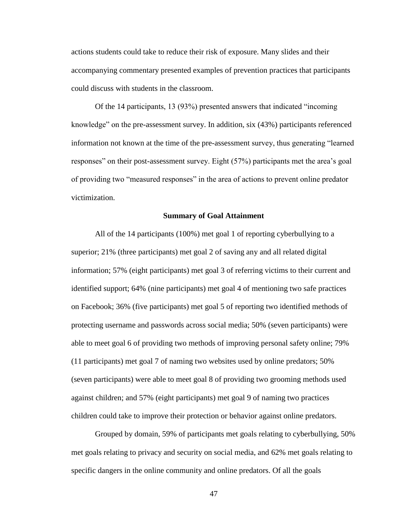actions students could take to reduce their risk of exposure. Many slides and their accompanying commentary presented examples of prevention practices that participants could discuss with students in the classroom.

Of the 14 participants, 13 (93%) presented answers that indicated "incoming knowledge" on the pre-assessment survey. In addition, six (43%) participants referenced information not known at the time of the pre-assessment survey, thus generating "learned responses" on their post-assessment survey. Eight (57%) participants met the area's goal of providing two "measured responses" in the area of actions to prevent online predator victimization.

## **Summary of Goal Attainment**

All of the 14 participants (100%) met goal 1 of reporting cyberbullying to a superior; 21% (three participants) met goal 2 of saving any and all related digital information; 57% (eight participants) met goal 3 of referring victims to their current and identified support; 64% (nine participants) met goal 4 of mentioning two safe practices on Facebook; 36% (five participants) met goal 5 of reporting two identified methods of protecting username and passwords across social media; 50% (seven participants) were able to meet goal 6 of providing two methods of improving personal safety online; 79% (11 participants) met goal 7 of naming two websites used by online predators; 50% (seven participants) were able to meet goal 8 of providing two grooming methods used against children; and 57% (eight participants) met goal 9 of naming two practices children could take to improve their protection or behavior against online predators.

Grouped by domain, 59% of participants met goals relating to cyberbullying, 50% met goals relating to privacy and security on social media, and 62% met goals relating to specific dangers in the online community and online predators. Of all the goals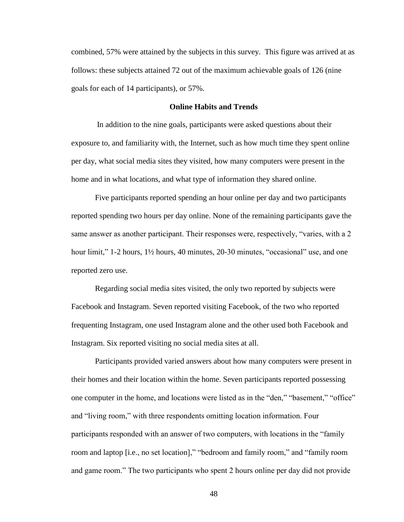combined, 57% were attained by the subjects in this survey. This figure was arrived at as follows: these subjects attained 72 out of the maximum achievable goals of 126 (nine goals for each of 14 participants), or 57%.

### **Online Habits and Trends**

In addition to the nine goals, participants were asked questions about their exposure to, and familiarity with, the Internet, such as how much time they spent online per day, what social media sites they visited, how many computers were present in the home and in what locations, and what type of information they shared online.

Five participants reported spending an hour online per day and two participants reported spending two hours per day online. None of the remaining participants gave the same answer as another participant. Their responses were, respectively, "varies, with a 2 hour limit," 1-2 hours, 1<sup>1/2</sup> hours, 40 minutes, 20-30 minutes, "occasional" use, and one reported zero use.

Regarding social media sites visited, the only two reported by subjects were Facebook and Instagram. Seven reported visiting Facebook, of the two who reported frequenting Instagram, one used Instagram alone and the other used both Facebook and Instagram. Six reported visiting no social media sites at all.

Participants provided varied answers about how many computers were present in their homes and their location within the home. Seven participants reported possessing one computer in the home, and locations were listed as in the "den," "basement," "office" and "living room," with three respondents omitting location information. Four participants responded with an answer of two computers, with locations in the "family room and laptop [i.e., no set location]," "bedroom and family room," and "family room and game room." The two participants who spent 2 hours online per day did not provide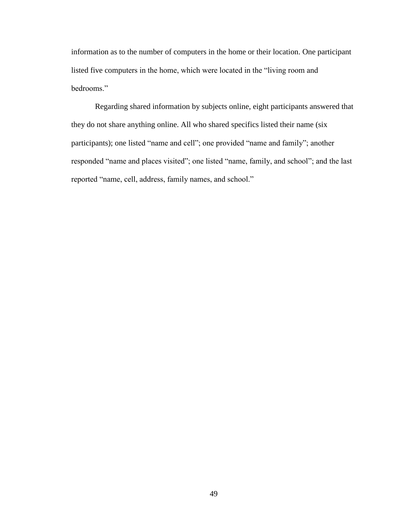information as to the number of computers in the home or their location. One participant listed five computers in the home, which were located in the "living room and bedrooms."

Regarding shared information by subjects online, eight participants answered that they do not share anything online. All who shared specifics listed their name (six participants); one listed "name and cell"; one provided "name and family"; another responded "name and places visited"; one listed "name, family, and school"; and the last reported "name, cell, address, family names, and school."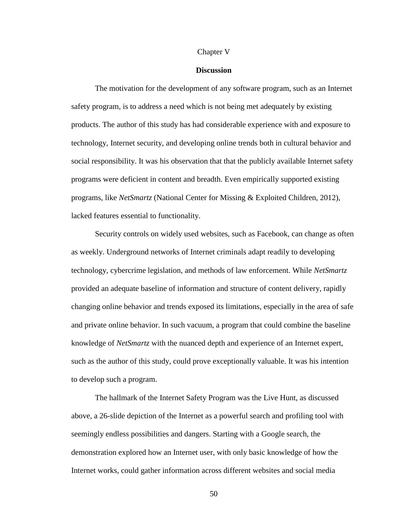#### Chapter V

## **Discussion**

The motivation for the development of any software program, such as an Internet safety program, is to address a need which is not being met adequately by existing products. The author of this study has had considerable experience with and exposure to technology, Internet security, and developing online trends both in cultural behavior and social responsibility. It was his observation that that the publicly available Internet safety programs were deficient in content and breadth. Even empirically supported existing programs, like *NetSmartz* (National Center for Missing & Exploited Children, 2012), lacked features essential to functionality.

Security controls on widely used websites, such as Facebook, can change as often as weekly. Underground networks of Internet criminals adapt readily to developing technology, cybercrime legislation, and methods of law enforcement. While *NetSmartz* provided an adequate baseline of information and structure of content delivery, rapidly changing online behavior and trends exposed its limitations, especially in the area of safe and private online behavior. In such vacuum, a program that could combine the baseline knowledge of *NetSmartz* with the nuanced depth and experience of an Internet expert, such as the author of this study, could prove exceptionally valuable. It was his intention to develop such a program.

The hallmark of the Internet Safety Program was the Live Hunt, as discussed above, a 26-slide depiction of the Internet as a powerful search and profiling tool with seemingly endless possibilities and dangers. Starting with a Google search, the demonstration explored how an Internet user, with only basic knowledge of how the Internet works, could gather information across different websites and social media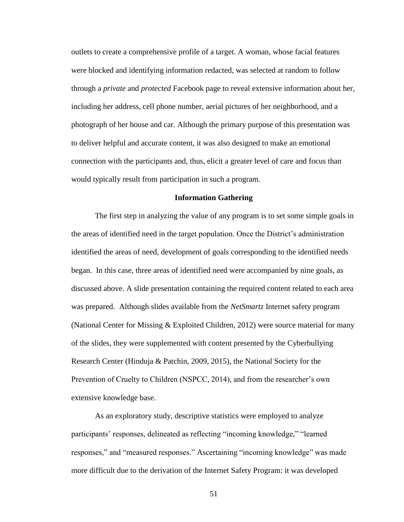outlets to create a comprehensive profile of a target. A woman, whose facial features were blocked and identifying information redacted, was selected at random to follow through a *private* and *protected* Facebook page to reveal extensive information about her, including her address, cell phone number, aerial pictures of her neighborhood, and a photograph of her house and car. Although the primary purpose of this presentation was to deliver helpful and accurate content, it was also designed to make an emotional connection with the participants and, thus, elicit a greater level of care and focus than would typically result from participation in such a program.

### **Information Gathering**

The first step in analyzing the value of any program is to set some simple goals in the areas of identified need in the target population. Once the District's administration identified the areas of need, development of goals corresponding to the identified needs began. In this case, three areas of identified need were accompanied by nine goals, as discussed above. A slide presentation containing the required content related to each area was prepared. Although slides available from the *NetSmartz* Internet safety program (National Center for Missing & Exploited Children, 2012) were source material for many of the slides, they were supplemented with content presented by the Cyberbullying Research Center (Hinduja & Patchin, 2009, 2015), the National Society for the Prevention of Cruelty to Children (NSPCC, 2014), and from the researcher's own extensive knowledge base.

As an exploratory study, descriptive statistics were employed to analyze participants' responses, delineated as reflecting "incoming knowledge," "learned responses," and "measured responses." Ascertaining "incoming knowledge" was made more difficult due to the derivation of the Internet Safety Program: it was developed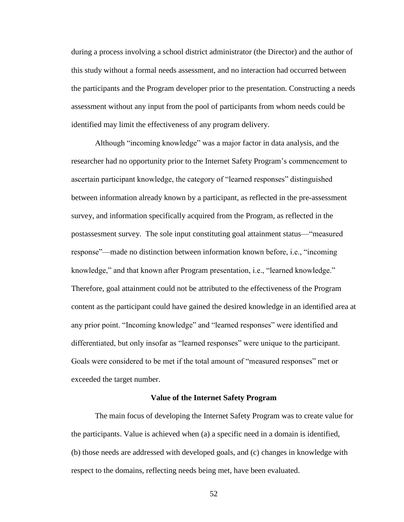during a process involving a school district administrator (the Director) and the author of this study without a formal needs assessment, and no interaction had occurred between the participants and the Program developer prior to the presentation. Constructing a needs assessment without any input from the pool of participants from whom needs could be identified may limit the effectiveness of any program delivery.

Although "incoming knowledge" was a major factor in data analysis, and the researcher had no opportunity prior to the Internet Safety Program's commencement to ascertain participant knowledge, the category of "learned responses" distinguished between information already known by a participant, as reflected in the pre-assessment survey, and information specifically acquired from the Program, as reflected in the postassesment survey. The sole input constituting goal attainment status—"measured response"—made no distinction between information known before, i.e., "incoming knowledge," and that known after Program presentation, i.e., "learned knowledge." Therefore, goal attainment could not be attributed to the effectiveness of the Program content as the participant could have gained the desired knowledge in an identified area at any prior point. "Incoming knowledge" and "learned responses" were identified and differentiated, but only insofar as "learned responses" were unique to the participant. Goals were considered to be met if the total amount of "measured responses" met or exceeded the target number.

## **Value of the Internet Safety Program**

The main focus of developing the Internet Safety Program was to create value for the participants. Value is achieved when (a) a specific need in a domain is identified, (b) those needs are addressed with developed goals, and (c) changes in knowledge with respect to the domains, reflecting needs being met, have been evaluated.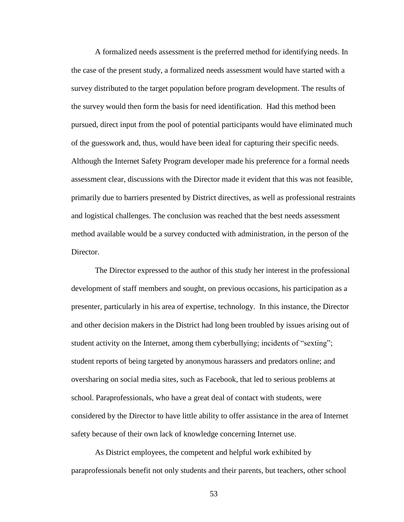A formalized needs assessment is the preferred method for identifying needs. In the case of the present study, a formalized needs assessment would have started with a survey distributed to the target population before program development. The results of the survey would then form the basis for need identification. Had this method been pursued, direct input from the pool of potential participants would have eliminated much of the guesswork and, thus, would have been ideal for capturing their specific needs. Although the Internet Safety Program developer made his preference for a formal needs assessment clear, discussions with the Director made it evident that this was not feasible, primarily due to barriers presented by District directives, as well as professional restraints and logistical challenges. The conclusion was reached that the best needs assessment method available would be a survey conducted with administration, in the person of the Director.

The Director expressed to the author of this study her interest in the professional development of staff members and sought, on previous occasions, his participation as a presenter, particularly in his area of expertise, technology. In this instance, the Director and other decision makers in the District had long been troubled by issues arising out of student activity on the Internet, among them cyberbullying; incidents of "sexting"; student reports of being targeted by anonymous harassers and predators online; and oversharing on social media sites, such as Facebook, that led to serious problems at school. Paraprofessionals, who have a great deal of contact with students, were considered by the Director to have little ability to offer assistance in the area of Internet safety because of their own lack of knowledge concerning Internet use.

As District employees, the competent and helpful work exhibited by paraprofessionals benefit not only students and their parents, but teachers, other school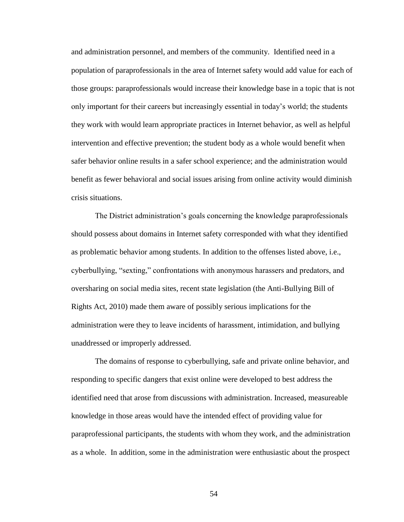and administration personnel, and members of the community. Identified need in a population of paraprofessionals in the area of Internet safety would add value for each of those groups: paraprofessionals would increase their knowledge base in a topic that is not only important for their careers but increasingly essential in today's world; the students they work with would learn appropriate practices in Internet behavior, as well as helpful intervention and effective prevention; the student body as a whole would benefit when safer behavior online results in a safer school experience; and the administration would benefit as fewer behavioral and social issues arising from online activity would diminish crisis situations.

The District administration's goals concerning the knowledge paraprofessionals should possess about domains in Internet safety corresponded with what they identified as problematic behavior among students. In addition to the offenses listed above, i.e., cyberbullying, "sexting," confrontations with anonymous harassers and predators, and oversharing on social media sites, recent state legislation (the Anti-Bullying Bill of Rights Act, 2010) made them aware of possibly serious implications for the administration were they to leave incidents of harassment, intimidation, and bullying unaddressed or improperly addressed.

The domains of response to cyberbullying, safe and private online behavior, and responding to specific dangers that exist online were developed to best address the identified need that arose from discussions with administration. Increased, measureable knowledge in those areas would have the intended effect of providing value for paraprofessional participants, the students with whom they work, and the administration as a whole. In addition, some in the administration were enthusiastic about the prospect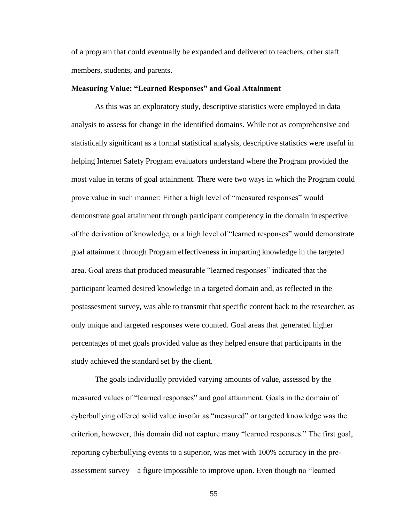of a program that could eventually be expanded and delivered to teachers, other staff members, students, and parents.

## **Measuring Value: "Learned Responses" and Goal Attainment**

As this was an exploratory study, descriptive statistics were employed in data analysis to assess for change in the identified domains. While not as comprehensive and statistically significant as a formal statistical analysis, descriptive statistics were useful in helping Internet Safety Program evaluators understand where the Program provided the most value in terms of goal attainment. There were two ways in which the Program could prove value in such manner: Either a high level of "measured responses" would demonstrate goal attainment through participant competency in the domain irrespective of the derivation of knowledge, or a high level of "learned responses" would demonstrate goal attainment through Program effectiveness in imparting knowledge in the targeted area. Goal areas that produced measurable "learned responses" indicated that the participant learned desired knowledge in a targeted domain and, as reflected in the postassesment survey, was able to transmit that specific content back to the researcher, as only unique and targeted responses were counted. Goal areas that generated higher percentages of met goals provided value as they helped ensure that participants in the study achieved the standard set by the client.

The goals individually provided varying amounts of value, assessed by the measured values of "learned responses" and goal attainment. Goals in the domain of cyberbullying offered solid value insofar as "measured" or targeted knowledge was the criterion, however, this domain did not capture many "learned responses." The first goal, reporting cyberbullying events to a superior, was met with 100% accuracy in the preassessment survey—a figure impossible to improve upon. Even though no "learned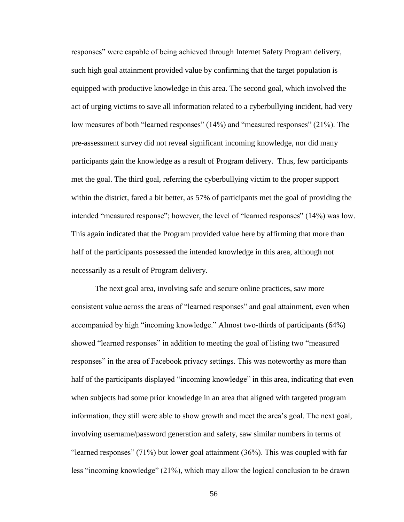responses" were capable of being achieved through Internet Safety Program delivery, such high goal attainment provided value by confirming that the target population is equipped with productive knowledge in this area. The second goal, which involved the act of urging victims to save all information related to a cyberbullying incident, had very low measures of both "learned responses" (14%) and "measured responses" (21%). The pre-assessment survey did not reveal significant incoming knowledge, nor did many participants gain the knowledge as a result of Program delivery. Thus, few participants met the goal. The third goal, referring the cyberbullying victim to the proper support within the district, fared a bit better, as 57% of participants met the goal of providing the intended "measured response"; however, the level of "learned responses" (14%) was low. This again indicated that the Program provided value here by affirming that more than half of the participants possessed the intended knowledge in this area, although not necessarily as a result of Program delivery.

The next goal area, involving safe and secure online practices, saw more consistent value across the areas of "learned responses" and goal attainment, even when accompanied by high "incoming knowledge." Almost two-thirds of participants (64%) showed "learned responses" in addition to meeting the goal of listing two "measured responses" in the area of Facebook privacy settings. This was noteworthy as more than half of the participants displayed "incoming knowledge" in this area, indicating that even when subjects had some prior knowledge in an area that aligned with targeted program information, they still were able to show growth and meet the area's goal. The next goal, involving username/password generation and safety, saw similar numbers in terms of "learned responses" (71%) but lower goal attainment (36%). This was coupled with far less "incoming knowledge" (21%), which may allow the logical conclusion to be drawn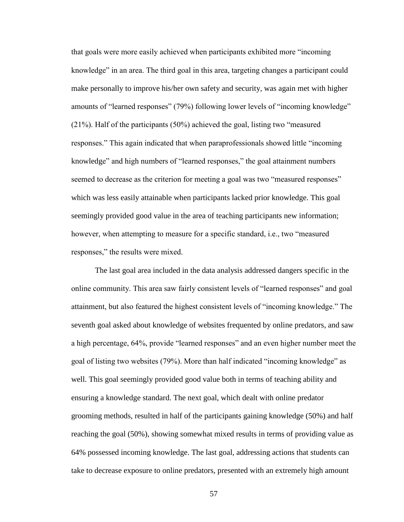that goals were more easily achieved when participants exhibited more "incoming knowledge" in an area. The third goal in this area, targeting changes a participant could make personally to improve his/her own safety and security, was again met with higher amounts of "learned responses" (79%) following lower levels of "incoming knowledge" (21%). Half of the participants (50%) achieved the goal, listing two "measured responses." This again indicated that when paraprofessionals showed little "incoming knowledge" and high numbers of "learned responses," the goal attainment numbers seemed to decrease as the criterion for meeting a goal was two "measured responses" which was less easily attainable when participants lacked prior knowledge. This goal seemingly provided good value in the area of teaching participants new information; however, when attempting to measure for a specific standard, i.e., two "measured responses," the results were mixed.

The last goal area included in the data analysis addressed dangers specific in the online community. This area saw fairly consistent levels of "learned responses" and goal attainment, but also featured the highest consistent levels of "incoming knowledge." The seventh goal asked about knowledge of websites frequented by online predators, and saw a high percentage, 64%, provide "learned responses" and an even higher number meet the goal of listing two websites (79%). More than half indicated "incoming knowledge" as well. This goal seemingly provided good value both in terms of teaching ability and ensuring a knowledge standard. The next goal, which dealt with online predator grooming methods, resulted in half of the participants gaining knowledge (50%) and half reaching the goal (50%), showing somewhat mixed results in terms of providing value as 64% possessed incoming knowledge. The last goal, addressing actions that students can take to decrease exposure to online predators, presented with an extremely high amount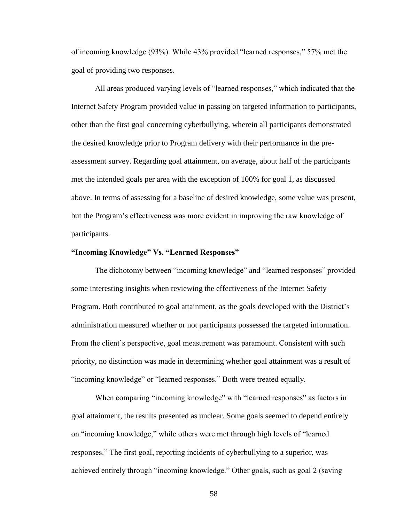of incoming knowledge (93%). While 43% provided "learned responses," 57% met the goal of providing two responses.

All areas produced varying levels of "learned responses," which indicated that the Internet Safety Program provided value in passing on targeted information to participants, other than the first goal concerning cyberbullying, wherein all participants demonstrated the desired knowledge prior to Program delivery with their performance in the preassessment survey. Regarding goal attainment, on average, about half of the participants met the intended goals per area with the exception of 100% for goal 1, as discussed above. In terms of assessing for a baseline of desired knowledge, some value was present, but the Program's effectiveness was more evident in improving the raw knowledge of participants.

### **"Incoming Knowledge" Vs. "Learned Responses"**

The dichotomy between "incoming knowledge" and "learned responses" provided some interesting insights when reviewing the effectiveness of the Internet Safety Program. Both contributed to goal attainment, as the goals developed with the District's administration measured whether or not participants possessed the targeted information. From the client's perspective, goal measurement was paramount. Consistent with such priority, no distinction was made in determining whether goal attainment was a result of "incoming knowledge" or "learned responses." Both were treated equally.

When comparing "incoming knowledge" with "learned responses" as factors in goal attainment, the results presented as unclear. Some goals seemed to depend entirely on "incoming knowledge," while others were met through high levels of "learned responses." The first goal, reporting incidents of cyberbullying to a superior, was achieved entirely through "incoming knowledge." Other goals, such as goal 2 (saving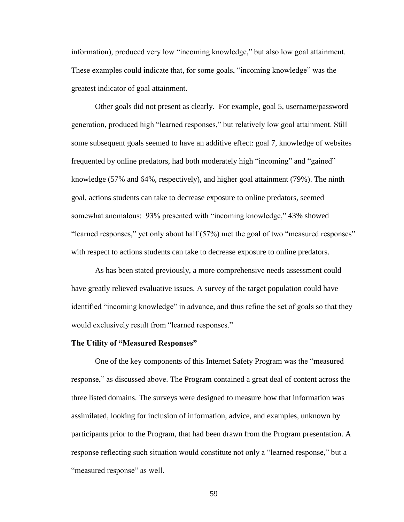information), produced very low "incoming knowledge," but also low goal attainment. These examples could indicate that, for some goals, "incoming knowledge" was the greatest indicator of goal attainment.

Other goals did not present as clearly. For example, goal 5, username/password generation, produced high "learned responses," but relatively low goal attainment. Still some subsequent goals seemed to have an additive effect: goal 7, knowledge of websites frequented by online predators, had both moderately high "incoming" and "gained" knowledge (57% and 64%, respectively), and higher goal attainment (79%). The ninth goal, actions students can take to decrease exposure to online predators, seemed somewhat anomalous: 93% presented with "incoming knowledge," 43% showed "learned responses," yet only about half (57%) met the goal of two "measured responses" with respect to actions students can take to decrease exposure to online predators.

As has been stated previously, a more comprehensive needs assessment could have greatly relieved evaluative issues. A survey of the target population could have identified "incoming knowledge" in advance, and thus refine the set of goals so that they would exclusively result from "learned responses."

## **The Utility of "Measured Responses"**

One of the key components of this Internet Safety Program was the "measured response," as discussed above. The Program contained a great deal of content across the three listed domains. The surveys were designed to measure how that information was assimilated, looking for inclusion of information, advice, and examples, unknown by participants prior to the Program, that had been drawn from the Program presentation. A response reflecting such situation would constitute not only a "learned response," but a "measured response" as well.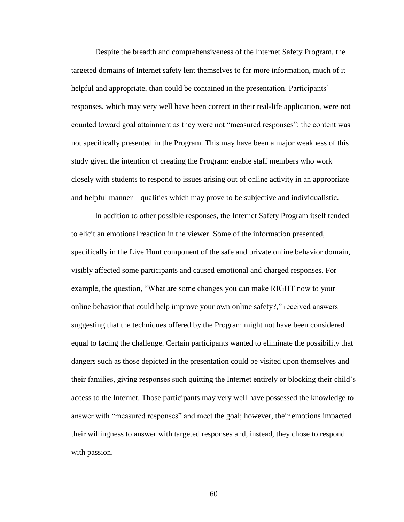Despite the breadth and comprehensiveness of the Internet Safety Program, the targeted domains of Internet safety lent themselves to far more information, much of it helpful and appropriate, than could be contained in the presentation. Participants' responses, which may very well have been correct in their real-life application, were not counted toward goal attainment as they were not "measured responses": the content was not specifically presented in the Program. This may have been a major weakness of this study given the intention of creating the Program: enable staff members who work closely with students to respond to issues arising out of online activity in an appropriate and helpful manner—qualities which may prove to be subjective and individualistic.

In addition to other possible responses, the Internet Safety Program itself tended to elicit an emotional reaction in the viewer. Some of the information presented, specifically in the Live Hunt component of the safe and private online behavior domain, visibly affected some participants and caused emotional and charged responses. For example, the question, "What are some changes you can make RIGHT now to your online behavior that could help improve your own online safety?," received answers suggesting that the techniques offered by the Program might not have been considered equal to facing the challenge. Certain participants wanted to eliminate the possibility that dangers such as those depicted in the presentation could be visited upon themselves and their families, giving responses such quitting the Internet entirely or blocking their child's access to the Internet. Those participants may very well have possessed the knowledge to answer with "measured responses" and meet the goal; however, their emotions impacted their willingness to answer with targeted responses and, instead, they chose to respond with passion.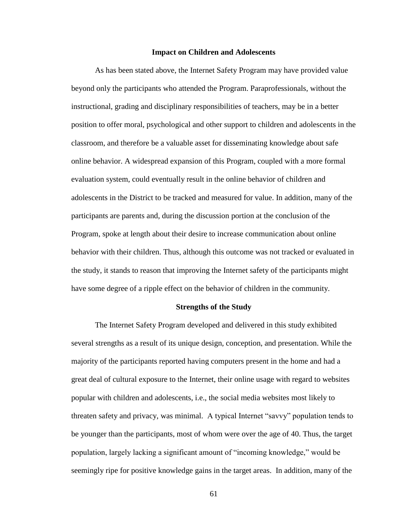#### **Impact on Children and Adolescents**

As has been stated above, the Internet Safety Program may have provided value beyond only the participants who attended the Program. Paraprofessionals, without the instructional, grading and disciplinary responsibilities of teachers, may be in a better position to offer moral, psychological and other support to children and adolescents in the classroom, and therefore be a valuable asset for disseminating knowledge about safe online behavior. A widespread expansion of this Program, coupled with a more formal evaluation system, could eventually result in the online behavior of children and adolescents in the District to be tracked and measured for value. In addition, many of the participants are parents and, during the discussion portion at the conclusion of the Program, spoke at length about their desire to increase communication about online behavior with their children. Thus, although this outcome was not tracked or evaluated in the study, it stands to reason that improving the Internet safety of the participants might have some degree of a ripple effect on the behavior of children in the community.

### **Strengths of the Study**

The Internet Safety Program developed and delivered in this study exhibited several strengths as a result of its unique design, conception, and presentation. While the majority of the participants reported having computers present in the home and had a great deal of cultural exposure to the Internet, their online usage with regard to websites popular with children and adolescents, i.e., the social media websites most likely to threaten safety and privacy, was minimal. A typical Internet "savvy" population tends to be younger than the participants, most of whom were over the age of 40. Thus, the target population, largely lacking a significant amount of "incoming knowledge," would be seemingly ripe for positive knowledge gains in the target areas. In addition, many of the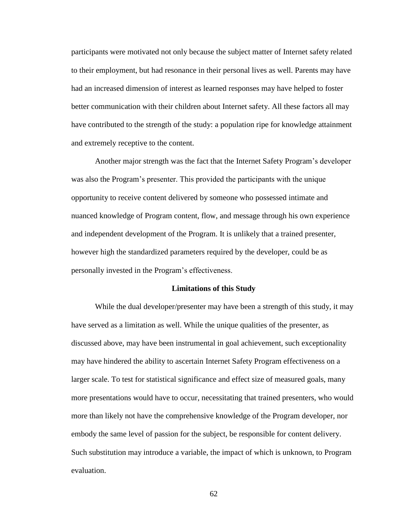participants were motivated not only because the subject matter of Internet safety related to their employment, but had resonance in their personal lives as well. Parents may have had an increased dimension of interest as learned responses may have helped to foster better communication with their children about Internet safety. All these factors all may have contributed to the strength of the study: a population ripe for knowledge attainment and extremely receptive to the content.

Another major strength was the fact that the Internet Safety Program's developer was also the Program's presenter. This provided the participants with the unique opportunity to receive content delivered by someone who possessed intimate and nuanced knowledge of Program content, flow, and message through his own experience and independent development of the Program. It is unlikely that a trained presenter, however high the standardized parameters required by the developer, could be as personally invested in the Program's effectiveness.

#### **Limitations of this Study**

While the dual developer/presenter may have been a strength of this study, it may have served as a limitation as well. While the unique qualities of the presenter, as discussed above, may have been instrumental in goal achievement, such exceptionality may have hindered the ability to ascertain Internet Safety Program effectiveness on a larger scale. To test for statistical significance and effect size of measured goals, many more presentations would have to occur, necessitating that trained presenters, who would more than likely not have the comprehensive knowledge of the Program developer, nor embody the same level of passion for the subject, be responsible for content delivery. Such substitution may introduce a variable, the impact of which is unknown, to Program evaluation.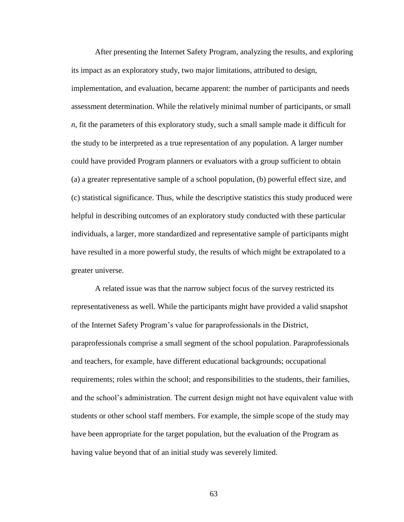After presenting the Internet Safety Program, analyzing the results, and exploring its impact as an exploratory study, two major limitations, attributed to design, implementation, and evaluation, became apparent: the number of participants and needs assessment determination. While the relatively minimal number of participants, or small *n*, fit the parameters of this exploratory study, such a small sample made it difficult for the study to be interpreted as a true representation of any population. A larger number could have provided Program planners or evaluators with a group sufficient to obtain (a) a greater representative sample of a school population, (b) powerful effect size, and (c) statistical significance. Thus, while the descriptive statistics this study produced were helpful in describing outcomes of an exploratory study conducted with these particular individuals, a larger, more standardized and representative sample of participants might have resulted in a more powerful study, the results of which might be extrapolated to a greater universe.

A related issue was that the narrow subject focus of the survey restricted its representativeness as well. While the participants might have provided a valid snapshot of the Internet Safety Program's value for paraprofessionals in the District, paraprofessionals comprise a small segment of the school population. Paraprofessionals and teachers, for example, have different educational backgrounds; occupational requirements; roles within the school; and responsibilities to the students, their families, and the school's administration. The current design might not have equivalent value with students or other school staff members. For example, the simple scope of the study may have been appropriate for the target population, but the evaluation of the Program as having value beyond that of an initial study was severely limited.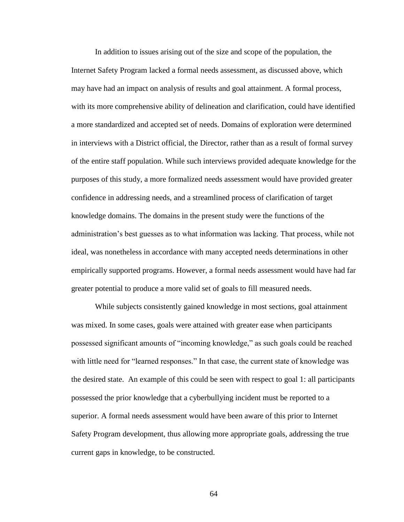In addition to issues arising out of the size and scope of the population, the Internet Safety Program lacked a formal needs assessment, as discussed above, which may have had an impact on analysis of results and goal attainment. A formal process, with its more comprehensive ability of delineation and clarification, could have identified a more standardized and accepted set of needs. Domains of exploration were determined in interviews with a District official, the Director, rather than as a result of formal survey of the entire staff population. While such interviews provided adequate knowledge for the purposes of this study, a more formalized needs assessment would have provided greater confidence in addressing needs, and a streamlined process of clarification of target knowledge domains. The domains in the present study were the functions of the administration's best guesses as to what information was lacking. That process, while not ideal, was nonetheless in accordance with many accepted needs determinations in other empirically supported programs. However, a formal needs assessment would have had far greater potential to produce a more valid set of goals to fill measured needs.

While subjects consistently gained knowledge in most sections, goal attainment was mixed. In some cases, goals were attained with greater ease when participants possessed significant amounts of "incoming knowledge," as such goals could be reached with little need for "learned responses." In that case, the current state of knowledge was the desired state. An example of this could be seen with respect to goal 1: all participants possessed the prior knowledge that a cyberbullying incident must be reported to a superior. A formal needs assessment would have been aware of this prior to Internet Safety Program development, thus allowing more appropriate goals, addressing the true current gaps in knowledge, to be constructed.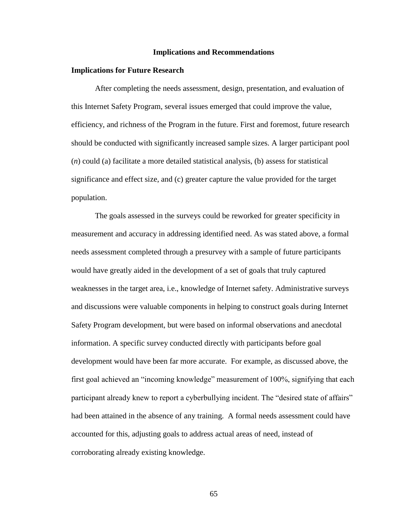#### **Implications and Recommendations**

#### **Implications for Future Research**

After completing the needs assessment, design, presentation, and evaluation of this Internet Safety Program, several issues emerged that could improve the value, efficiency, and richness of the Program in the future. First and foremost, future research should be conducted with significantly increased sample sizes. A larger participant pool (*n*) could (a) facilitate a more detailed statistical analysis, (b) assess for statistical significance and effect size, and (c) greater capture the value provided for the target population.

The goals assessed in the surveys could be reworked for greater specificity in measurement and accuracy in addressing identified need. As was stated above, a formal needs assessment completed through a presurvey with a sample of future participants would have greatly aided in the development of a set of goals that truly captured weaknesses in the target area, i.e., knowledge of Internet safety. Administrative surveys and discussions were valuable components in helping to construct goals during Internet Safety Program development, but were based on informal observations and anecdotal information. A specific survey conducted directly with participants before goal development would have been far more accurate. For example, as discussed above, the first goal achieved an "incoming knowledge" measurement of 100%, signifying that each participant already knew to report a cyberbullying incident. The "desired state of affairs" had been attained in the absence of any training. A formal needs assessment could have accounted for this, adjusting goals to address actual areas of need, instead of corroborating already existing knowledge.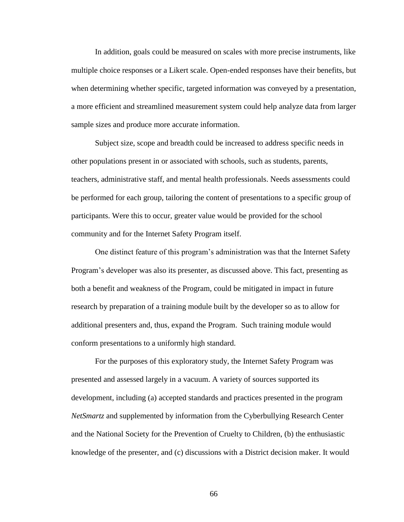In addition, goals could be measured on scales with more precise instruments, like multiple choice responses or a Likert scale. Open-ended responses have their benefits, but when determining whether specific, targeted information was conveyed by a presentation, a more efficient and streamlined measurement system could help analyze data from larger sample sizes and produce more accurate information.

Subject size, scope and breadth could be increased to address specific needs in other populations present in or associated with schools, such as students, parents, teachers, administrative staff, and mental health professionals. Needs assessments could be performed for each group, tailoring the content of presentations to a specific group of participants. Were this to occur, greater value would be provided for the school community and for the Internet Safety Program itself.

One distinct feature of this program's administration was that the Internet Safety Program's developer was also its presenter, as discussed above. This fact, presenting as both a benefit and weakness of the Program, could be mitigated in impact in future research by preparation of a training module built by the developer so as to allow for additional presenters and, thus, expand the Program. Such training module would conform presentations to a uniformly high standard.

For the purposes of this exploratory study, the Internet Safety Program was presented and assessed largely in a vacuum. A variety of sources supported its development, including (a) accepted standards and practices presented in the program *NetSmartz* and supplemented by information from the Cyberbullying Research Center and the National Society for the Prevention of Cruelty to Children, (b) the enthusiastic knowledge of the presenter, and (c) discussions with a District decision maker. It would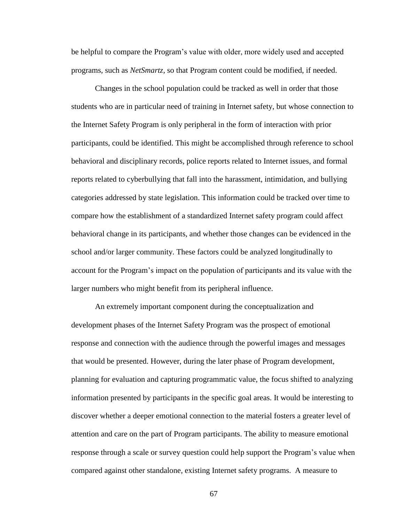be helpful to compare the Program's value with older, more widely used and accepted programs, such as *NetSmartz*, so that Program content could be modified, if needed.

Changes in the school population could be tracked as well in order that those students who are in particular need of training in Internet safety, but whose connection to the Internet Safety Program is only peripheral in the form of interaction with prior participants, could be identified. This might be accomplished through reference to school behavioral and disciplinary records, police reports related to Internet issues, and formal reports related to cyberbullying that fall into the harassment, intimidation, and bullying categories addressed by state legislation. This information could be tracked over time to compare how the establishment of a standardized Internet safety program could affect behavioral change in its participants, and whether those changes can be evidenced in the school and/or larger community. These factors could be analyzed longitudinally to account for the Program's impact on the population of participants and its value with the larger numbers who might benefit from its peripheral influence.

An extremely important component during the conceptualization and development phases of the Internet Safety Program was the prospect of emotional response and connection with the audience through the powerful images and messages that would be presented. However, during the later phase of Program development, planning for evaluation and capturing programmatic value, the focus shifted to analyzing information presented by participants in the specific goal areas. It would be interesting to discover whether a deeper emotional connection to the material fosters a greater level of attention and care on the part of Program participants. The ability to measure emotional response through a scale or survey question could help support the Program's value when compared against other standalone, existing Internet safety programs. A measure to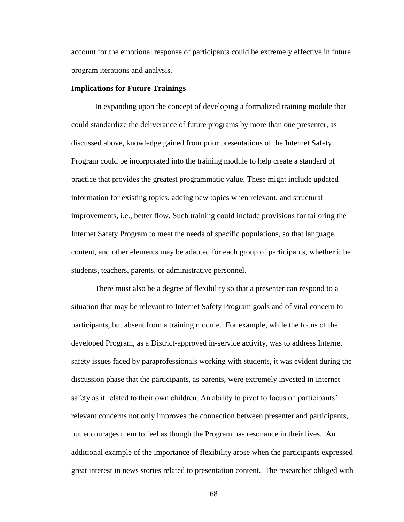account for the emotional response of participants could be extremely effective in future program iterations and analysis.

### **Implications for Future Trainings**

In expanding upon the concept of developing a formalized training module that could standardize the deliverance of future programs by more than one presenter, as discussed above, knowledge gained from prior presentations of the Internet Safety Program could be incorporated into the training module to help create a standard of practice that provides the greatest programmatic value. These might include updated information for existing topics, adding new topics when relevant, and structural improvements, i.e., better flow. Such training could include provisions for tailoring the Internet Safety Program to meet the needs of specific populations, so that language, content, and other elements may be adapted for each group of participants, whether it be students, teachers, parents, or administrative personnel.

There must also be a degree of flexibility so that a presenter can respond to a situation that may be relevant to Internet Safety Program goals and of vital concern to participants, but absent from a training module. For example, while the focus of the developed Program, as a District-approved in-service activity, was to address Internet safety issues faced by paraprofessionals working with students, it was evident during the discussion phase that the participants, as parents, were extremely invested in Internet safety as it related to their own children. An ability to pivot to focus on participants' relevant concerns not only improves the connection between presenter and participants, but encourages them to feel as though the Program has resonance in their lives. An additional example of the importance of flexibility arose when the participants expressed great interest in news stories related to presentation content. The researcher obliged with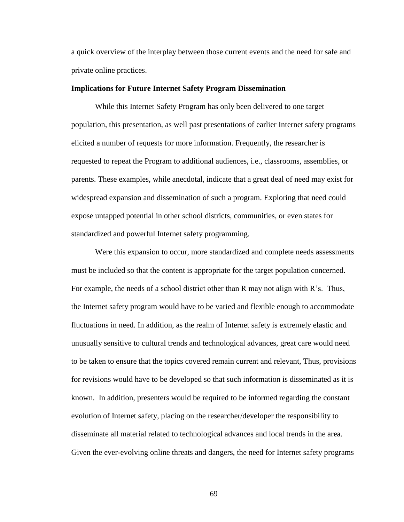a quick overview of the interplay between those current events and the need for safe and private online practices.

### **Implications for Future Internet Safety Program Dissemination**

While this Internet Safety Program has only been delivered to one target population, this presentation, as well past presentations of earlier Internet safety programs elicited a number of requests for more information. Frequently, the researcher is requested to repeat the Program to additional audiences, i.e., classrooms, assemblies, or parents. These examples, while anecdotal, indicate that a great deal of need may exist for widespread expansion and dissemination of such a program. Exploring that need could expose untapped potential in other school districts, communities, or even states for standardized and powerful Internet safety programming.

Were this expansion to occur, more standardized and complete needs assessments must be included so that the content is appropriate for the target population concerned. For example, the needs of a school district other than R may not align with R's. Thus, the Internet safety program would have to be varied and flexible enough to accommodate fluctuations in need. In addition, as the realm of Internet safety is extremely elastic and unusually sensitive to cultural trends and technological advances, great care would need to be taken to ensure that the topics covered remain current and relevant, Thus, provisions for revisions would have to be developed so that such information is disseminated as it is known. In addition, presenters would be required to be informed regarding the constant evolution of Internet safety, placing on the researcher/developer the responsibility to disseminate all material related to technological advances and local trends in the area. Given the ever-evolving online threats and dangers, the need for Internet safety programs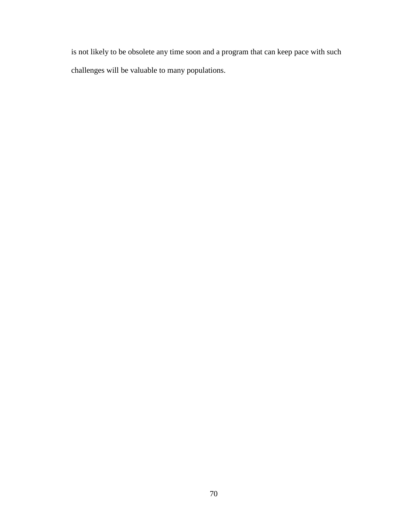is not likely to be obsolete any time soon and a program that can keep pace with such challenges will be valuable to many populations.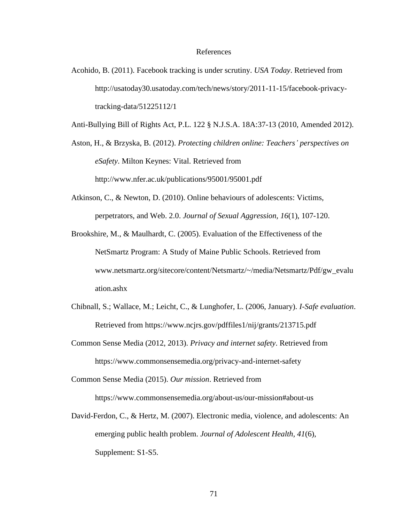#### References

Acohido, B. (2011). Facebook tracking is under scrutiny. *USA Today*. Retrieved from http://usatoday30.usatoday.com/tech/news/story/2011-11-15/facebook-privacytracking-data/51225112/1

Anti-Bullying Bill of Rights Act, P.L. 122 § N.J.S.A. 18A:37-13 (2010, Amended 2012).

Aston, H., & Brzyska, B. (2012). *Protecting children online: Teachers' perspectives on eSafety*. Milton Keynes: Vital. Retrieved from http://www.nfer.ac.uk/publications/95001/95001.pdf

- Atkinson, C., & Newton, D. (2010). Online behaviours of adolescents: Victims, perpetrators, and Web. 2.0. *Journal of Sexual Aggression, 16*(1), 107-120.
- Brookshire, M., & Maulhardt, C. (2005). Evaluation of the Effectiveness of the NetSmartz Program: A Study of Maine Public Schools. Retrieved from www.netsmartz.org/sitecore/content/Netsmartz/~/media/Netsmartz/Pdf/gw\_evalu ation.ashx
- Chibnall, S.; Wallace, M.; Leicht, C., & Lunghofer, L. (2006, January). *I-Safe evaluation*. Retrieved from https://www.ncjrs.gov/pdffiles1/nij/grants/213715.pdf
- Common Sense Media (2012, 2013). *Privacy and internet safety*. Retrieved from https://www.commonsensemedia.org/privacy-and-internet-safety

Common Sense Media (2015). *Our mission*. Retrieved from https://www.commonsensemedia.org/about-us/our-mission#about-us

David-Ferdon, C., & Hertz, M. (2007). Electronic media, violence, and adolescents: An emerging public health problem. *Journal of Adolescent Health, 41*(6), Supplement: S1-S5.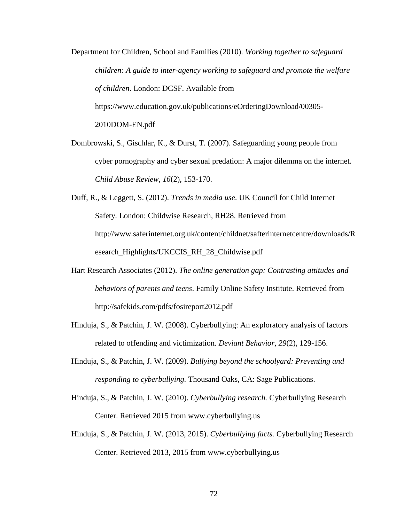Department for Children, School and Families (2010). *Working together to safeguard children: A guide to inter-agency working to safeguard and promote the welfare of children*. London: DCSF. Available from https://www.education.gov.uk/publications/eOrderingDownload/00305- 2010DOM-EN.pdf

- Dombrowski, S., Gischlar, K., & Durst, T. (2007). Safeguarding young people from cyber pornography and cyber sexual predation: A major dilemma on the internet. *Child Abuse Review, 16*(2), 153-170.
- Duff, R., & Leggett, S. (2012). *Trends in media use*. UK Council for Child Internet Safety. London: Childwise Research, RH28. Retrieved from http://www.saferinternet.org.uk/content/childnet/safterinternetcentre/downloads/R esearch\_Highlights/UKCCIS\_RH\_28\_Childwise.pdf
- Hart Research Associates (2012). *The online generation gap: Contrasting attitudes and behaviors of parents and teens*. Family Online Safety Institute. Retrieved from http://safekids.com/pdfs/fosireport2012.pdf
- Hinduja, S., & Patchin, J. W. (2008). Cyberbullying: An exploratory analysis of factors related to offending and victimization. *Deviant Behavior, 29*(2), 129-156.
- Hinduja, S., & Patchin, J. W. (2009). *Bullying beyond the schoolyard: Preventing and responding to cyberbullying.* Thousand Oaks, CA: Sage Publications.
- Hinduja, S., & Patchin, J. W. (2010). *Cyberbullying research.* Cyberbullying Research Center. Retrieved 2015 from www.cyberbullying.us
- Hinduja, S., & Patchin, J. W. (2013, 2015). *Cyberbullying facts.* Cyberbullying Research Center. Retrieved 2013, 2015 from www.cyberbullying.us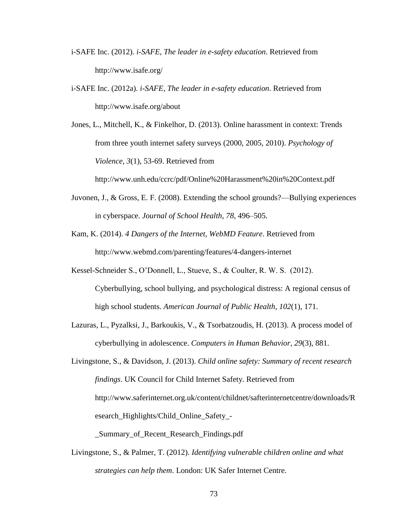- i-SAFE Inc. (2012). *i-SAFE, The leader in e-safety education*. Retrieved from http://www.isafe.org/
- i-SAFE Inc. (2012a). *i-SAFE, The leader in e-safety education*. Retrieved from http://www.isafe.org/about

Jones, L., Mitchell, K., & Finkelhor, D. (2013). Online harassment in context: Trends from three youth internet safety surveys (2000, 2005, 2010). *Psychology of Violence, 3*(1), 53-69. Retrieved from

http://www.unh.edu/ccrc/pdf/Online%20Harassment%20in%20Context.pdf

- Juvonen, J., & Gross, E. F. (2008). Extending the school grounds?—Bullying experiences in cyberspace. *Journal of School Health, 78*, 496–505.
- Kam, K. (2014). *4 Dangers of the Internet, WebMD Feature*. Retrieved from http://www.webmd.com/parenting/features/4-dangers-internet

Kessel-Schneider S., O'Donnell, L., Stueve, S., & Coulter, R. W. S. (2012).

- Cyberbullying, school bullying, and psychological distress: A regional census of high school students. *American Journal of Public Health*, *102*(1), 171.
- Lazuras, L., Pyzalksi, J., Barkoukis, V., & Tsorbatzoudis, H. (2013). A process model of cyberbullying in adolescence. *Computers in Human Behavior, 29*(3), 881.

Livingstone, S., & Davidson, J. (2013). *Child online safety: Summary of recent research findings*. UK Council for Child Internet Safety. Retrieved from http://www.saferinternet.org.uk/content/childnet/safterinternetcentre/downloads/R esearch\_Highlights/Child\_Online\_Safety\_- \_Summary\_of\_Recent\_Research\_Findings.pdf

Livingstone, S., & Palmer, T. (2012). *Identifying vulnerable children online and what strategies can help them*. London: UK Safer Internet Centre.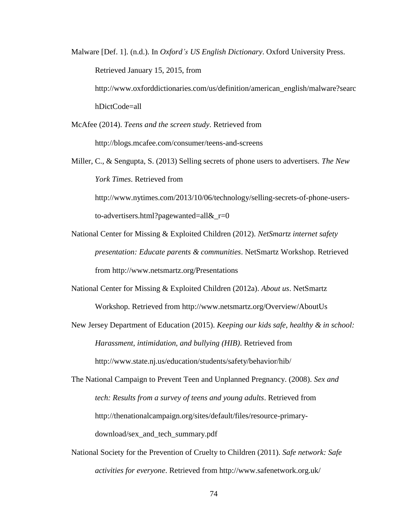Malware [Def. 1]. (n.d.). In *Oxford's US English Dictionary*. Oxford University Press. Retrieved January 15, 2015, from http://www.oxforddictionaries.com/us/definition/american\_english/malware?searc hDictCode=all

McAfee (2014). *Teens and the screen study*. Retrieved from http://blogs.mcafee.com/consumer/teens-and-screens

Miller, C., & Sengupta, S. (2013) Selling secrets of phone users to advertisers. *The New York Times*. Retrieved from

http://www.nytimes.com/2013/10/06/technology/selling-secrets-of-phone-usersto-advertisers.html?pagewanted=all&\_r=0

- National Center for Missing & Exploited Children (2012). *NetSmartz internet safety presentation: Educate parents & communities*. NetSmartz Workshop. Retrieved from http://www.netsmartz.org/Presentations
- National Center for Missing & Exploited Children (2012a). *About us*. NetSmartz Workshop. Retrieved from http://www.netsmartz.org/Overview/AboutUs
- New Jersey Department of Education (2015). *Keeping our kids safe, healthy & in school: Harassment, intimidation, and bullying (HIB)*. Retrieved from http://www.state.nj.us/education/students/safety/behavior/hib/

The National Campaign to Prevent Teen and Unplanned Pregnancy. (2008). *Sex and tech: Results from a survey of teens and young adults*. Retrieved from http://thenationalcampaign.org/sites/default/files/resource-primarydownload/sex\_and\_tech\_summary.pdf

National Society for the Prevention of Cruelty to Children (2011). *Safe network: Safe activities for everyone*. Retrieved from http://www.safenetwork.org.uk/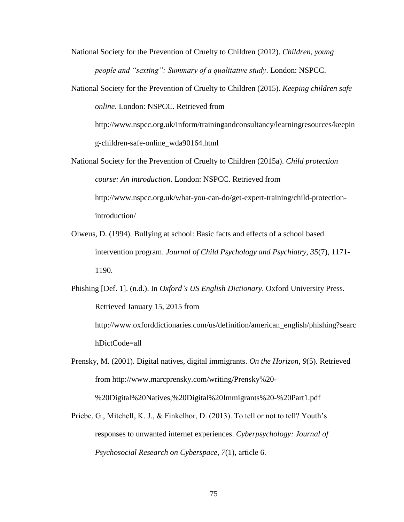National Society for the Prevention of Cruelty to Children (2012). *Children, young people and "sexting": Summary of a qualitative study*. London: NSPCC.

National Society for the Prevention of Cruelty to Children (2015). *Keeping children safe online*. London: NSPCC. Retrieved from

http://www.nspcc.org.uk/Inform/trainingandconsultancy/learningresources/keepin g-children-safe-online\_wda90164.html

- National Society for the Prevention of Cruelty to Children (2015a). *Child protection course: An introduction.* London: NSPCC. Retrieved from http://www.nspcc.org.uk/what-you-can-do/get-expert-training/child-protectionintroduction/
- Olweus, D. (1994). Bullying at school: Basic facts and effects of a school based intervention program. *Journal of Child Psychology and Psychiatry, 35*(7), 1171- 1190.

Phishing [Def. 1]. (n.d.). In *Oxford's US English Dictionary*. Oxford University Press. Retrieved January 15, 2015 from http://www.oxforddictionaries.com/us/definition/american\_english/phishing?searc

hDictCode=all

Prensky, M. (2001). Digital natives, digital immigrants. *On the Horizon, 9*(5). Retrieved from http://www.marcprensky.com/writing/Prensky%20- %20Digital%20Natives,%20Digital%20Immigrants%20-%20Part1.pdf

Priebe, G., Mitchell, K. J., & Finkelhor, D. (2013). To tell or not to tell? Youth's responses to unwanted internet experiences. *Cyberpsychology: Journal of Psychosocial Research on Cyberspace, 7*(1), article 6.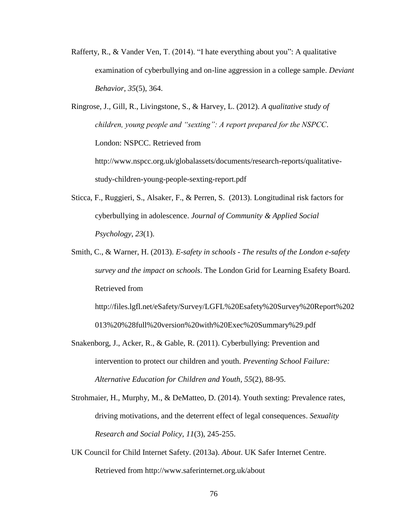Rafferty, R., & Vander Ven, T. (2014). "I hate everything about you": A qualitative examination of cyberbullying and on-line aggression in a college sample. *Deviant Behavior, 35*(5), 364.

Ringrose, J., Gill, R., Livingstone, S., & Harvey, L. (2012). *A qualitative study of children, young people and "sexting": A report prepared for the NSPCC*. London: NSPCC. Retrieved from http://www.nspcc.org.uk/globalassets/documents/research-reports/qualitativestudy-children-young-people-sexting-report.pdf

- Sticca, F., Ruggieri, S., Alsaker, F., & Perren, S. (2013). Longitudinal risk factors for cyberbullying in adolescence. *Journal of Community & Applied Social Psychology*, *23*(1).
- Smith, C., & Warner, H. (2013). *E-safety in schools - The results of the London e-safety survey and the impact on schools*. The London Grid for Learning Esafety Board. Retrieved from

http://files.lgfl.net/eSafety/Survey/LGFL%20Esafety%20Survey%20Report%202 013%20%28full%20version%20with%20Exec%20Summary%29.pdf

- Snakenborg, J., Acker, R., & Gable, R. (2011). Cyberbullying: Prevention and intervention to protect our children and youth. *Preventing School Failure: Alternative Education for Children and Youth, 55*(2), 88-95.
- Strohmaier, H., Murphy, M., & DeMatteo, D. (2014). Youth sexting: Prevalence rates, driving motivations, and the deterrent effect of legal consequences. *Sexuality Research and Social Policy, 11*(3), 245-255.
- UK Council for Child Internet Safety. (2013a). *About*. UK Safer Internet Centre. Retrieved from http://www.saferinternet.org.uk/about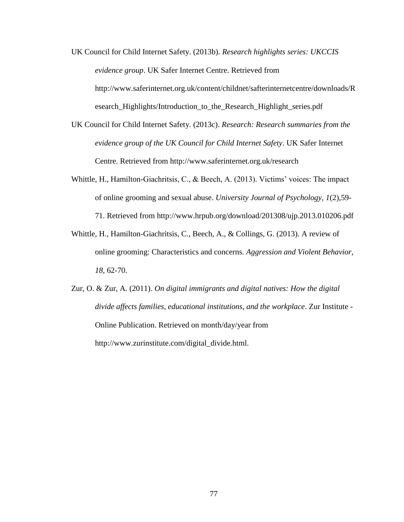- UK Council for Child Internet Safety. (2013b). *Research highlights series: UKCCIS evidence group*. UK Safer Internet Centre. Retrieved from http://www.saferinternet.org.uk/content/childnet/safterinternetcentre/downloads/R esearch\_Highlights/Introduction\_to\_the\_Research\_Highlight\_series.pdf
- UK Council for Child Internet Safety. (2013c). *Research: Research summaries from the evidence group of the UK Council for Child Internet Safety*. UK Safer Internet Centre. Retrieved from http://www.saferinternet.org.uk/research
- Whittle, H., Hamilton-Giachritsis, C., & Beech, A. (2013). Victims' voices: The impact of online grooming and sexual abuse. *University Journal of Psychology, 1*(2),59- 71. Retrieved from http://www.hrpub.org/download/201308/ujp.2013.010206.pdf
- Whittle, H., Hamilton-Giachritsis, C., Beech, A., & Collings, G. (2013). A review of online grooming: Characteristics and concerns. *Aggression and Violent Behavior, 18*, 62-70.
- Zur, O. & Zur, A. (2011). *On digital immigrants and digital natives: How the digital divide affects families, educational institutions, and the workplace*. Zur Institute - Online Publication. Retrieved on month/day/year from http://www.zurinstitute.com/digital\_divide.html.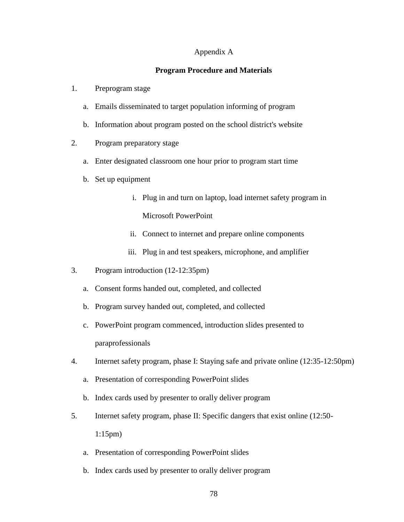## Appendix A

# **Program Procedure and Materials**

- 1. Preprogram stage
	- a. Emails disseminated to target population informing of program
	- b. Information about program posted on the school district's website
- 2. Program preparatory stage
	- a. Enter designated classroom one hour prior to program start time
	- b. Set up equipment
		- i. Plug in and turn on laptop, load internet safety program in Microsoft PowerPoint
		- ii. Connect to internet and prepare online components
		- iii. Plug in and test speakers, microphone, and amplifier
- 3. Program introduction (12-12:35pm)
	- a. Consent forms handed out, completed, and collected
	- b. Program survey handed out, completed, and collected
	- c. PowerPoint program commenced, introduction slides presented to paraprofessionals
- 4. Internet safety program, phase I: Staying safe and private online (12:35-12:50pm)
	- a. Presentation of corresponding PowerPoint slides
	- b. Index cards used by presenter to orally deliver program
- 5. Internet safety program, phase II: Specific dangers that exist online (12:50- 1:15pm)
	- a. Presentation of corresponding PowerPoint slides
	- b. Index cards used by presenter to orally deliver program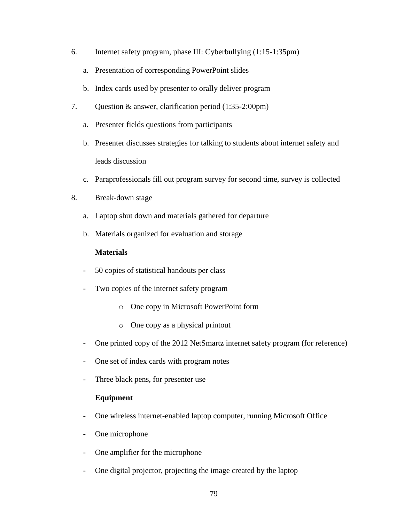- 6. Internet safety program, phase III: Cyberbullying (1:15-1:35pm)
	- a. Presentation of corresponding PowerPoint slides
	- b. Index cards used by presenter to orally deliver program
- 7. Question & answer, clarification period (1:35-2:00pm)
	- a. Presenter fields questions from participants
	- b. Presenter discusses strategies for talking to students about internet safety and leads discussion
	- c. Paraprofessionals fill out program survey for second time, survey is collected
- 8. Break-down stage
	- a. Laptop shut down and materials gathered for departure
	- b. Materials organized for evaluation and storage

# **Materials**

- 50 copies of statistical handouts per class
- Two copies of the internet safety program
	- o One copy in Microsoft PowerPoint form
	- o One copy as a physical printout
- One printed copy of the 2012 NetSmartz internet safety program (for reference)
- One set of index cards with program notes
- Three black pens, for presenter use

# **Equipment**

- One wireless internet-enabled laptop computer, running Microsoft Office
- One microphone
- One amplifier for the microphone
- One digital projector, projecting the image created by the laptop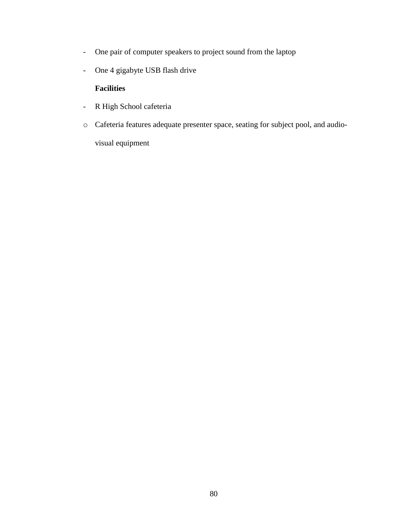- One pair of computer speakers to project sound from the laptop
- One 4 gigabyte USB flash drive

# **Facilities**

- R High School cafeteria
- o Cafeteria features adequate presenter space, seating for subject pool, and audiovisual equipment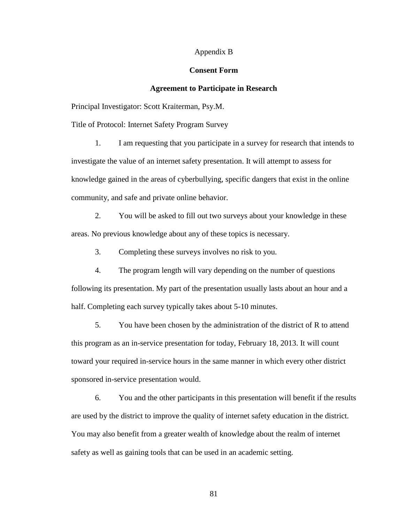#### Appendix B

### **Consent Form**

# **Agreement to Participate in Research**

Principal Investigator: Scott Kraiterman, Psy.M.

Title of Protocol: Internet Safety Program Survey

1. I am requesting that you participate in a survey for research that intends to investigate the value of an internet safety presentation. It will attempt to assess for knowledge gained in the areas of cyberbullying, specific dangers that exist in the online community, and safe and private online behavior.

2. You will be asked to fill out two surveys about your knowledge in these areas. No previous knowledge about any of these topics is necessary.

3. Completing these surveys involves no risk to you.

4. The program length will vary depending on the number of questions following its presentation. My part of the presentation usually lasts about an hour and a half. Completing each survey typically takes about 5-10 minutes.

5. You have been chosen by the administration of the district of R to attend this program as an in-service presentation for today, February 18, 2013. It will count toward your required in-service hours in the same manner in which every other district sponsored in-service presentation would.

6. You and the other participants in this presentation will benefit if the results are used by the district to improve the quality of internet safety education in the district. You may also benefit from a greater wealth of knowledge about the realm of internet safety as well as gaining tools that can be used in an academic setting.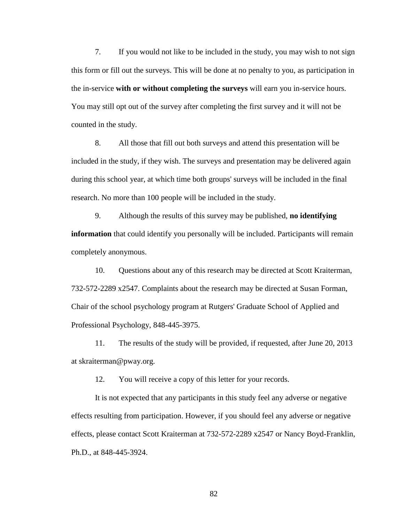7. If you would not like to be included in the study, you may wish to not sign this form or fill out the surveys. This will be done at no penalty to you, as participation in the in-service **with or without completing the surveys** will earn you in-service hours. You may still opt out of the survey after completing the first survey and it will not be counted in the study.

8. All those that fill out both surveys and attend this presentation will be included in the study, if they wish. The surveys and presentation may be delivered again during this school year, at which time both groups' surveys will be included in the final research. No more than 100 people will be included in the study.

9. Although the results of this survey may be published, **no identifying information** that could identify you personally will be included. Participants will remain completely anonymous.

10. Questions about any of this research may be directed at Scott Kraiterman, 732-572-2289 x2547. Complaints about the research may be directed at Susan Forman, Chair of the school psychology program at Rutgers' Graduate School of Applied and Professional Psychology, 848-445-3975.

11. The results of the study will be provided, if requested, after June 20, 2013 at skraiterman@pway.org.

12. You will receive a copy of this letter for your records.

It is not expected that any participants in this study feel any adverse or negative effects resulting from participation. However, if you should feel any adverse or negative effects, please contact Scott Kraiterman at 732-572-2289 x2547 or Nancy Boyd-Franklin, Ph.D., at 848-445-3924.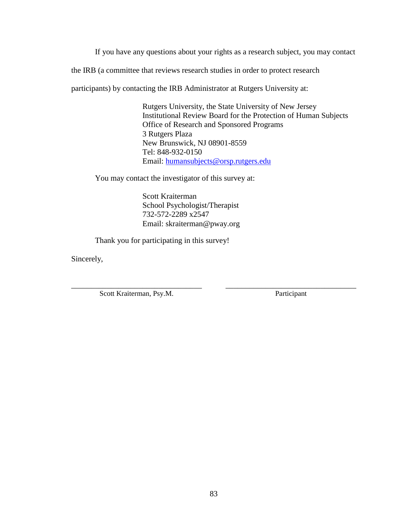If you have any questions about your rights as a research subject, you may contact

the IRB (a committee that reviews research studies in order to protect research

participants) by contacting the IRB Administrator at Rutgers University at:

Rutgers University, the State University of New Jersey Institutional Review Board for the Protection of Human Subjects Office of Research and Sponsored Programs 3 Rutgers Plaza New Brunswick, NJ 08901-8559 Tel: 848-932-0150 Email: [humansubjects@orsp.rutgers.edu](mailto:humansubjects@orsp.rutgers.edu)

You may contact the investigator of this survey at:

Scott Kraiterman School Psychologist/Therapist 732-572-2289 x2547 Email: skraiterman@pway.org

Thank you for participating in this survey!

Sincerely,

Scott Kraiterman, Psy.M. Participant

\_\_\_\_\_\_\_\_\_\_\_\_\_\_\_\_\_\_\_\_\_\_\_\_\_\_\_\_\_\_\_\_\_ \_\_\_\_\_\_\_\_\_\_\_\_\_\_\_\_\_\_\_\_\_\_\_\_\_\_\_\_\_\_\_\_\_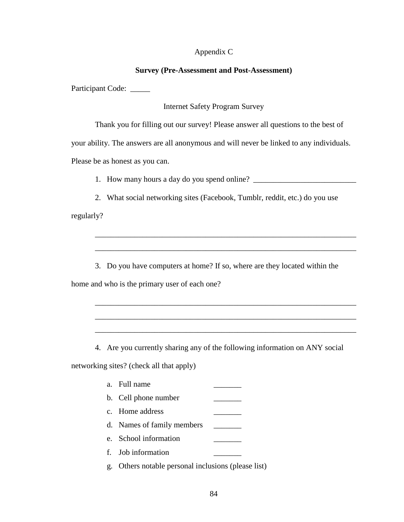# Appendix C

### **Survey (Pre-Assessment and Post-Assessment)**

Participant Code: \_\_\_\_\_

Internet Safety Program Survey

Thank you for filling out our survey! Please answer all questions to the best of

your ability. The answers are all anonymous and will never be linked to any individuals.

Please be as honest as you can.

1. How many hours a day do you spend online? \_\_\_\_\_\_\_\_\_\_\_\_\_\_\_\_\_\_\_\_\_\_\_\_\_\_\_\_\_\_\_\_\_\_\_

2. What social networking sites (Facebook, Tumblr, reddit, etc.) do you use

regularly?

3. Do you have computers at home? If so, where are they located within the

\_\_\_\_\_\_\_\_\_\_\_\_\_\_\_\_\_\_\_\_\_\_\_\_\_\_\_\_\_\_\_\_\_\_\_\_\_\_\_\_\_\_\_\_\_\_\_\_\_\_\_\_\_\_\_\_\_\_\_\_\_\_\_\_\_\_

\_\_\_\_\_\_\_\_\_\_\_\_\_\_\_\_\_\_\_\_\_\_\_\_\_\_\_\_\_\_\_\_\_\_\_\_\_\_\_\_\_\_\_\_\_\_\_\_\_\_\_\_\_\_\_\_\_\_\_\_\_\_\_\_\_\_

\_\_\_\_\_\_\_\_\_\_\_\_\_\_\_\_\_\_\_\_\_\_\_\_\_\_\_\_\_\_\_\_\_\_\_\_\_\_\_\_\_\_\_\_\_\_\_\_\_\_\_\_\_\_\_\_\_\_\_\_\_\_\_\_\_\_

\_\_\_\_\_\_\_\_\_\_\_\_\_\_\_\_\_\_\_\_\_\_\_\_\_\_\_\_\_\_\_\_\_\_\_\_\_\_\_\_\_\_\_\_\_\_\_\_\_\_\_\_\_\_\_\_\_\_\_\_\_\_\_\_\_\_

\_\_\_\_\_\_\_\_\_\_\_\_\_\_\_\_\_\_\_\_\_\_\_\_\_\_\_\_\_\_\_\_\_\_\_\_\_\_\_\_\_\_\_\_\_\_\_\_\_\_\_\_\_\_\_\_\_\_\_\_\_\_\_\_\_\_

home and who is the primary user of each one?

4. Are you currently sharing any of the following information on ANY social

networking sites? (check all that apply)

| a. Full name         |  |
|----------------------|--|
| h Collections number |  |

- b. Cell phone number \_\_\_\_\_\_\_
- c. Home address \_\_\_\_\_\_\_
- d. Names of family members \_\_\_\_\_\_\_
- e. School information
- f. Job information
- g. Others notable personal inclusions (please list)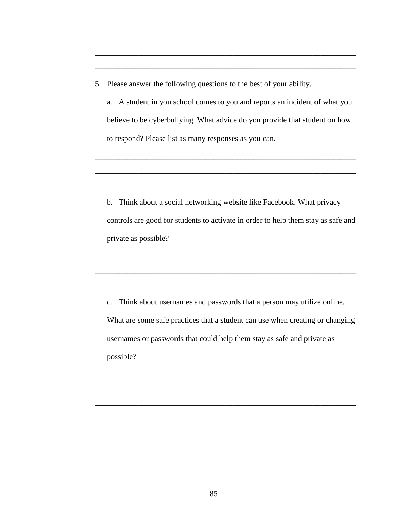5. Please answer the following questions to the best of your ability.

a. A student in you school comes to you and reports an incident of what you believe to be cyberbullying. What advice do you provide that student on how to respond? Please list as many responses as you can.

\_\_\_\_\_\_\_\_\_\_\_\_\_\_\_\_\_\_\_\_\_\_\_\_\_\_\_\_\_\_\_\_\_\_\_\_\_\_\_\_\_\_\_\_\_\_\_\_\_\_\_\_\_\_\_\_\_\_\_\_\_\_\_\_\_\_

\_\_\_\_\_\_\_\_\_\_\_\_\_\_\_\_\_\_\_\_\_\_\_\_\_\_\_\_\_\_\_\_\_\_\_\_\_\_\_\_\_\_\_\_\_\_\_\_\_\_\_\_\_\_\_\_\_\_\_\_\_\_\_\_\_\_

\_\_\_\_\_\_\_\_\_\_\_\_\_\_\_\_\_\_\_\_\_\_\_\_\_\_\_\_\_\_\_\_\_\_\_\_\_\_\_\_\_\_\_\_\_\_\_\_\_\_\_\_\_\_\_\_\_\_\_\_\_\_\_\_\_\_

\_\_\_\_\_\_\_\_\_\_\_\_\_\_\_\_\_\_\_\_\_\_\_\_\_\_\_\_\_\_\_\_\_\_\_\_\_\_\_\_\_\_\_\_\_\_\_\_\_\_\_\_\_\_\_\_\_\_\_\_\_\_\_\_\_\_

\_\_\_\_\_\_\_\_\_\_\_\_\_\_\_\_\_\_\_\_\_\_\_\_\_\_\_\_\_\_\_\_\_\_\_\_\_\_\_\_\_\_\_\_\_\_\_\_\_\_\_\_\_\_\_\_\_\_\_\_\_\_\_\_\_\_

b. Think about a social networking website like Facebook. What privacy controls are good for students to activate in order to help them stay as safe and private as possible?

\_\_\_\_\_\_\_\_\_\_\_\_\_\_\_\_\_\_\_\_\_\_\_\_\_\_\_\_\_\_\_\_\_\_\_\_\_\_\_\_\_\_\_\_\_\_\_\_\_\_\_\_\_\_\_\_\_\_\_\_\_\_\_\_\_\_

\_\_\_\_\_\_\_\_\_\_\_\_\_\_\_\_\_\_\_\_\_\_\_\_\_\_\_\_\_\_\_\_\_\_\_\_\_\_\_\_\_\_\_\_\_\_\_\_\_\_\_\_\_\_\_\_\_\_\_\_\_\_\_\_\_\_

\_\_\_\_\_\_\_\_\_\_\_\_\_\_\_\_\_\_\_\_\_\_\_\_\_\_\_\_\_\_\_\_\_\_\_\_\_\_\_\_\_\_\_\_\_\_\_\_\_\_\_\_\_\_\_\_\_\_\_\_\_\_\_\_\_\_

c. Think about usernames and passwords that a person may utilize online. What are some safe practices that a student can use when creating or changing usernames or passwords that could help them stay as safe and private as possible?

\_\_\_\_\_\_\_\_\_\_\_\_\_\_\_\_\_\_\_\_\_\_\_\_\_\_\_\_\_\_\_\_\_\_\_\_\_\_\_\_\_\_\_\_\_\_\_\_\_\_\_\_\_\_\_\_\_\_\_\_\_\_\_\_\_\_

\_\_\_\_\_\_\_\_\_\_\_\_\_\_\_\_\_\_\_\_\_\_\_\_\_\_\_\_\_\_\_\_\_\_\_\_\_\_\_\_\_\_\_\_\_\_\_\_\_\_\_\_\_\_\_\_\_\_\_\_\_\_\_\_\_\_

\_\_\_\_\_\_\_\_\_\_\_\_\_\_\_\_\_\_\_\_\_\_\_\_\_\_\_\_\_\_\_\_\_\_\_\_\_\_\_\_\_\_\_\_\_\_\_\_\_\_\_\_\_\_\_\_\_\_\_\_\_\_\_\_\_\_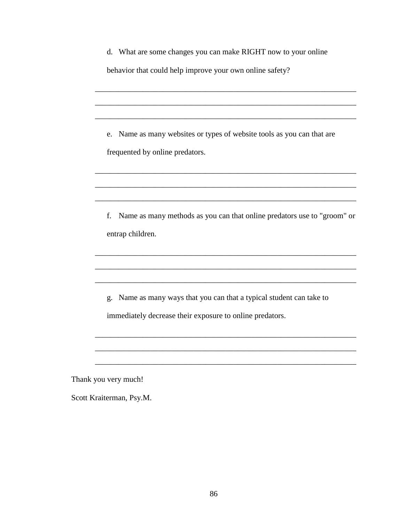| d. What are some changes you can make RIGHT now to your online<br>behavior that could help improve your own online safety?          |  |  |
|-------------------------------------------------------------------------------------------------------------------------------------|--|--|
|                                                                                                                                     |  |  |
| Name as many websites or types of website tools as you can that are<br>e.<br>frequented by online predators.                        |  |  |
|                                                                                                                                     |  |  |
| Name as many methods as you can that online predators use to "groom" or<br>f.<br>entrap children.                                   |  |  |
|                                                                                                                                     |  |  |
| Name as many ways that you can that a typical student can take to<br>g.<br>immediately decrease their exposure to online predators. |  |  |
|                                                                                                                                     |  |  |
| Thank you very much!<br>Scott Kraiterman, Psy.M.                                                                                    |  |  |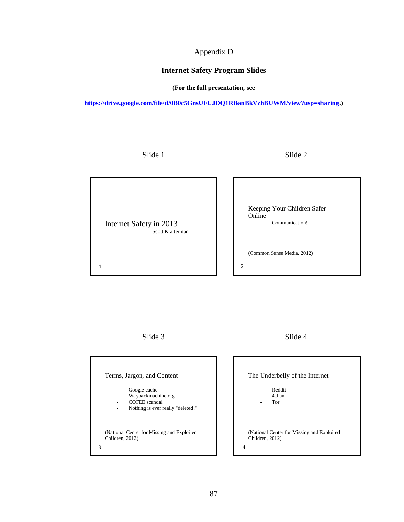# Appendix D

# **Internet Safety Program Slides**

**(For the full presentation, see** 

**[https://drive.google.com/file/d/0B0c5GnsUFUJDQ1RBanBkVzhBUWM/view?usp=sharing.](https://drive.google.com/file/d/0B0c5GnsUFUJDQ1RBanBkVzhBUWM/view?usp=sharing))**

Slide 1 Slide 2



Slide 3 Slide 4

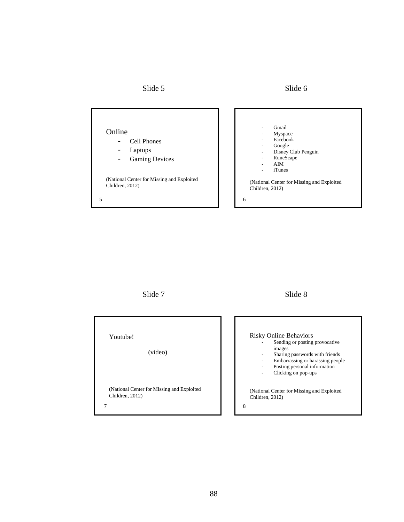Slide 5 Slide 6



Slide 7 Slide 8

| Youtube!<br>(video)                                            | <b>Risky Online Behaviors</b><br>Sending or posting provocative<br>images<br>Sharing passwords with friends<br>Embarrassing or harassing people<br>Posting personal information |
|----------------------------------------------------------------|---------------------------------------------------------------------------------------------------------------------------------------------------------------------------------|
| (National Center for Missing and Exploited)<br>Children, 2012) | Clicking on pop-ups<br>(National Center for Missing and Exploited)<br>Children, 2012)<br>8                                                                                      |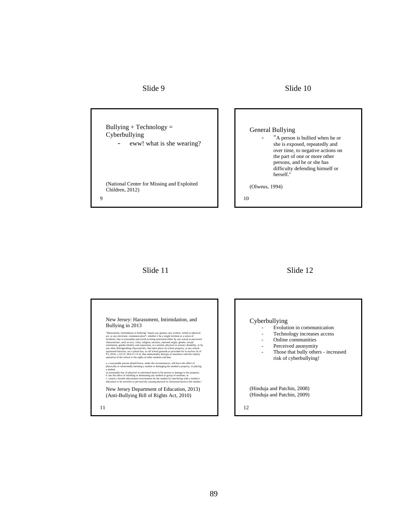#### Slide 9 Slide 10



### Slide 11 Slide 12

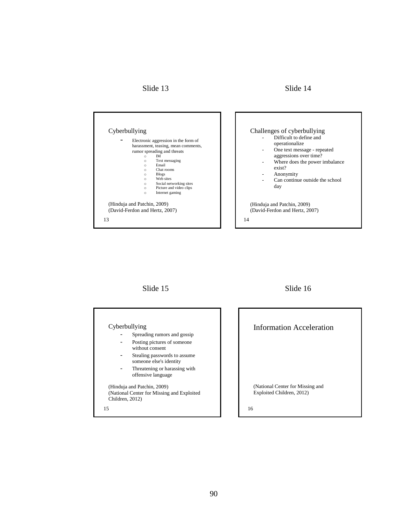# Slide 13 Slide 14





j

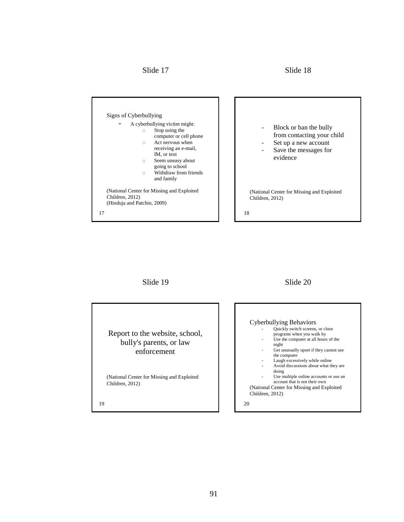Slide 17 Slide 18





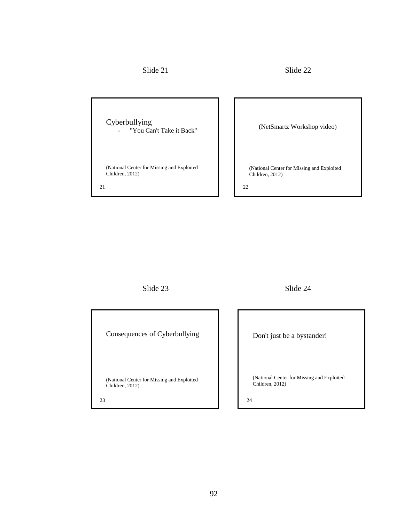Cyberbullying - "You Can't Take it Back" (National Center for Missing and Exploited Children, 2012) (NetSmartz Workshop video) (National Center for Missing and Exploited Children, 2012) 21 22

Slide 23 Slide 24

| Consequences of Cyberbullying                                       |  |
|---------------------------------------------------------------------|--|
| (National Center for Missing and Exploited<br>Children, 2012)<br>23 |  |

Don't just be a bystander! (National Center for Missing and Exploited Children, 2012)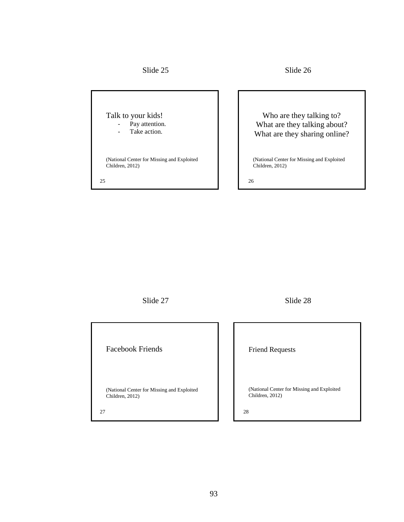Slide 25 Slide 26

Talk to your kids! - Pay attention. Take action. (National Center for Missing and Exploited Children, 2012) Who are they talking to? What are they talking about? What are they sharing online? (National Center for Missing and Exploited Children, 2012)

25 26

Slide 27 Slide 28

Facebook Friends

(National Center for Missing and Exploited Children, 2012)

Friend Requests

(National Center for Missing and Exploited Children, 2012)

27  $\hspace{1.5cm}$  28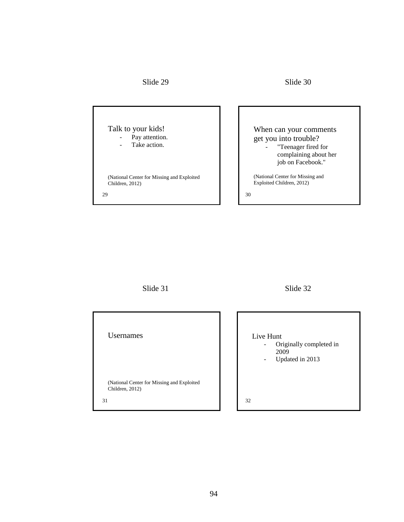

Talk to your kids! - Pay attention.

- Take action.

(National Center for Missing and Exploited Children, 2012)

# When can your comments get you into trouble?

- "Teenager fired for complaining about her job on Facebook."

(National Center for Missing and Exploited Children, 2012)

 $29$  30

Slide 31 Slide 32

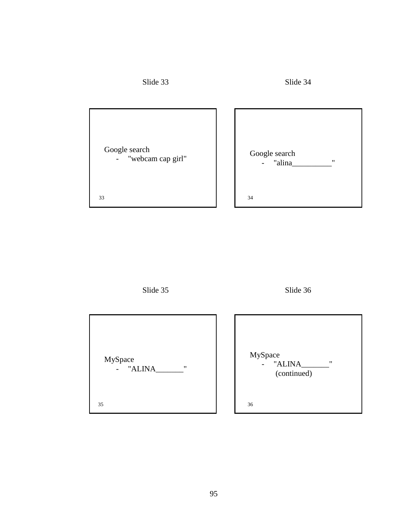

Slide 35 Slide 36

| MySpace<br>- "ALINA<br>$^{\prime\prime}$ | MySpace<br>- "ALINA_<br>$^{\prime\prime}$<br>(continued) |
|------------------------------------------|----------------------------------------------------------|
| 35                                       | 36                                                       |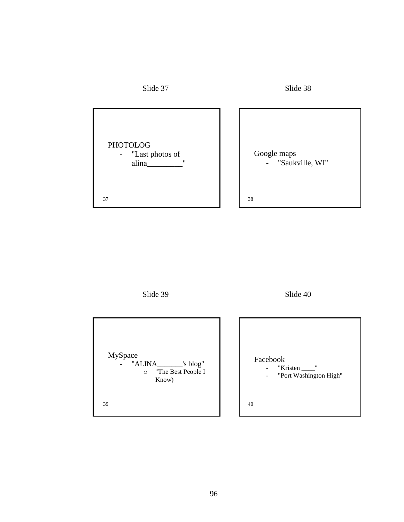

Slide 39 Slide 40

MySpace - "ALINA\_\_\_\_\_\_\_'s blog" o "The Best People I Know) Facebook - "Kristen \_\_\_\_"<br>- "Port Washingt "Port Washington High"  $39$  40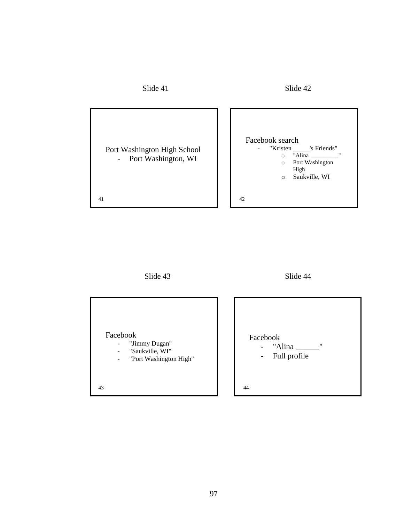





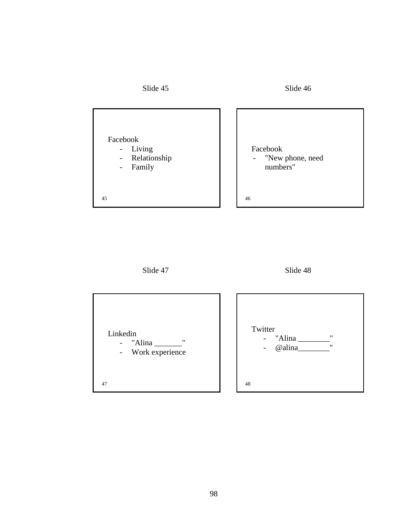





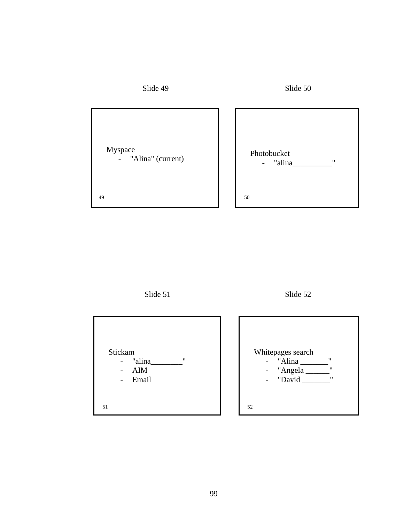



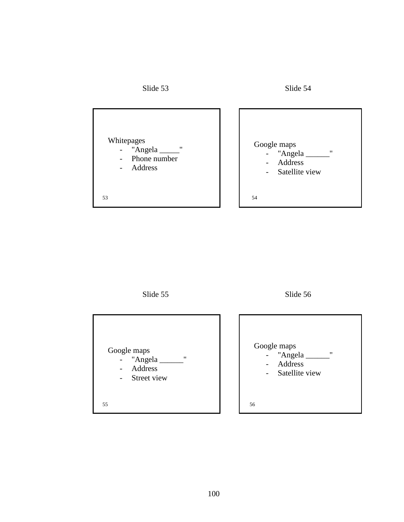



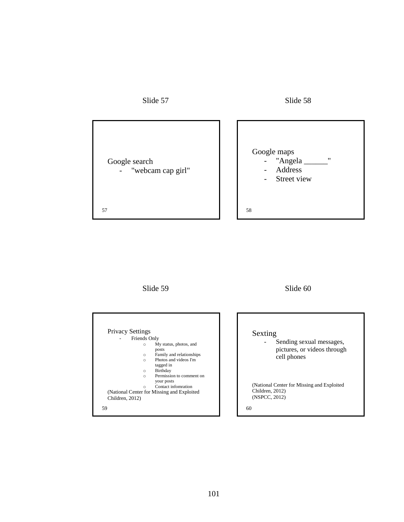

Google search - "webcam cap girl"

## Slide 57 Slide 58



Slide 59 Slide 60



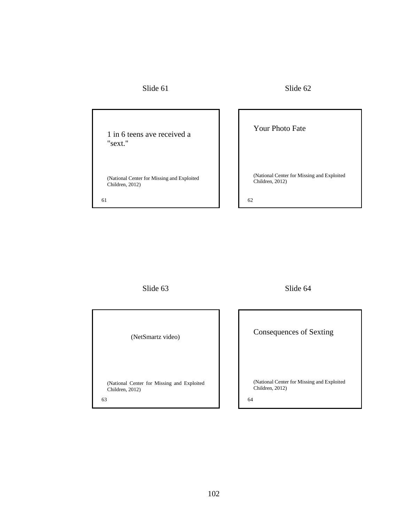## Slide 61 Slide 62

1 in 6 teens ave received a "sext."

(National Center for Missing and Exploited Children, 2012)

# Your Photo Fate

(National Center for Missing and Exploited Children, 2012)

61 62

Slide 63 Slide 64

| (NetSmartz video)                                             |    |
|---------------------------------------------------------------|----|
| (National Center for Missing and Exploited<br>Children, 2012) |    |
| 63                                                            | 64 |

Consequences of Sexting

(National Center for Missing and Exploited Children, 2012)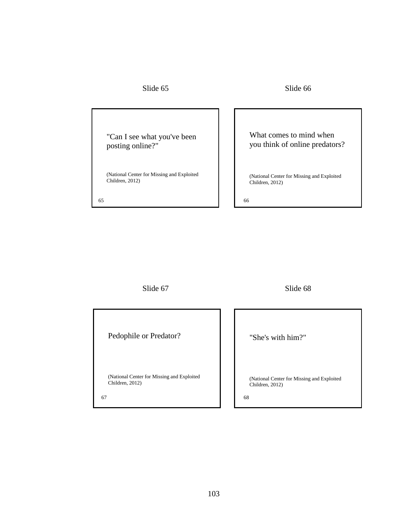### Slide 65 Slide 66

"Can I see what you've been posting online?"

(National Center for Missing and Exploited Children, 2012)

## What comes to mind when you think of online predators?

(National Center for Missing and Exploited Children, 2012)

65 66

Slide 67 Slide 68

Pedophile or Predator?

(National Center for Missing and Exploited Children, 2012)

67 68

"She's with him?"

(National Center for Missing and Exploited Children, 2012)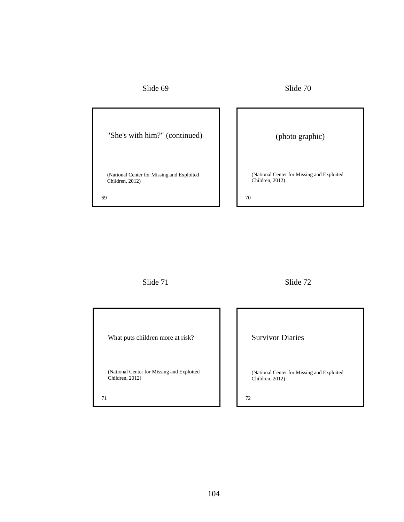| Slide 69 |
|----------|
|----------|

Slide 69 Slide 70

| "She's with him?" (continued)                                       | (photo graphic)                                                      |
|---------------------------------------------------------------------|----------------------------------------------------------------------|
| (National Center for Missing and Exploited<br>Children, 2012)<br>69 | (National Center for Missing and Exploited)<br>Children, 2012)<br>70 |

Slide 71 Slide 72

What puts children more at risk?

(National Center for Missing and Exploited Children, 2012)

Survivor Diaries

(National Center for Missing and Exploited Children, 2012)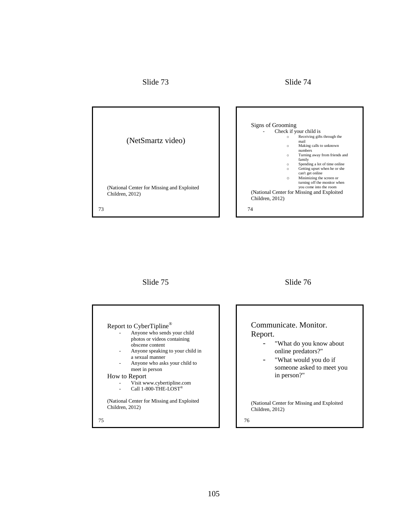Slide 73 Slide 74



### Slide 75 Slide 76

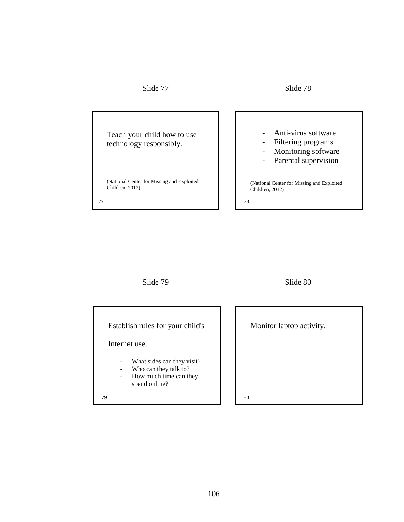Slide 77 Slide 78

Teach your child how to use technology responsibly. (National Center for Missing and Exploited Children, 2012) - Anti-virus software - Filtering programs - Monitoring software - Parental supervision (National Center for Missing and Exploited Children, 2012) 77 78

Slide 79 Slide 80

(National Center for Missing and Exploited

| Establish rules for your child's                                                               | Monitor laptop activity. |
|------------------------------------------------------------------------------------------------|--------------------------|
| Internet use.                                                                                  |                          |
| What sides can they visit?<br>Who can they talk to?<br>How much time can they<br>spend online? |                          |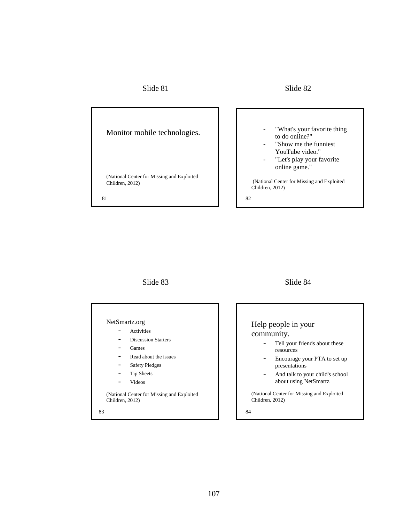### Slide 81 Slide 82

Monitor mobile technologies. (National Center for Missing and Exploited Children, 2012) "What's your favorite thing to do online?" "Show me the funniest YouTube video." "Let's play your favorite online game." (National Center for Missing and Exploited Children, 2012) 81 82

## Slide 83 Slide 84

#### NetSmartz.org

- Activities
- Discussion Starters
- Games
- Read about the issues
- Safety Pledges
- Tip Sheets
- Videos

(National Center for Missing and Exploited Children, 2012)

# Help people in your community.

- Tell your friends about these resources
- Encourage your PTA to set up presentations
- And talk to your child's school about using NetSmartz

(National Center for Missing and Exploited Children, 2012)